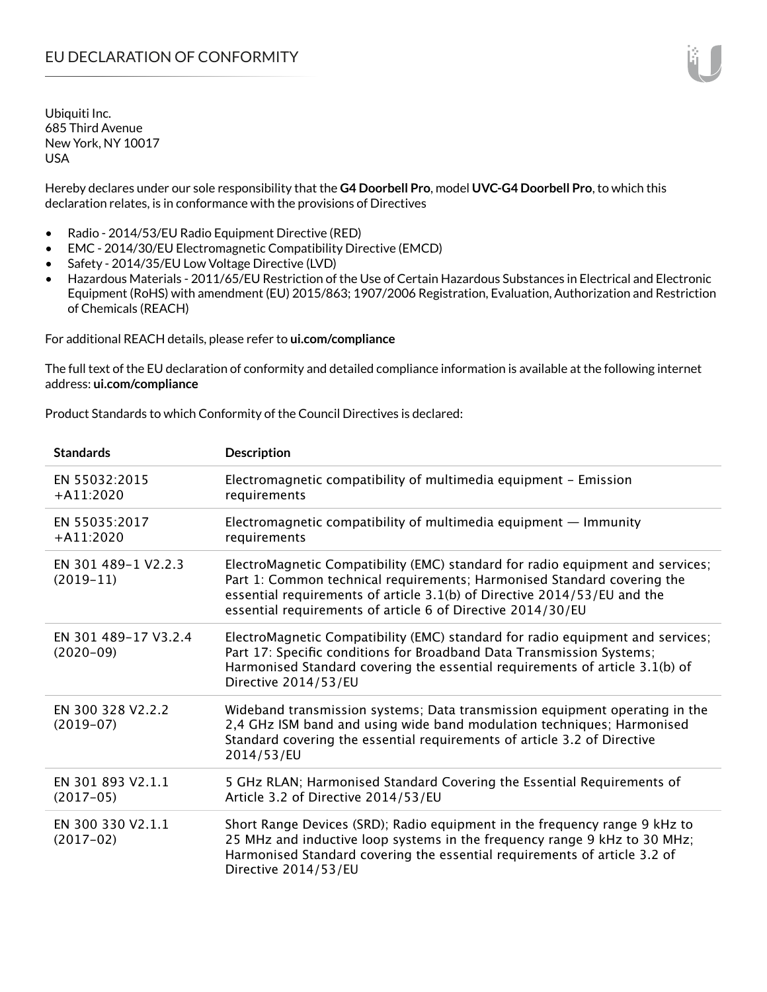Hereby declares under our sole responsibility that the **G4 Doorbell Pro**, model **UVC-G4 Doorbell Pro**, to which this declaration relates, is in conformance with the provisions of Directives

- Radio 2014/53/EU Radio Equipment Directive (RED)
- EMC 2014/30/EU Electromagnetic Compatibility Directive (EMCD)
- Safety 2014/35/EU Low Voltage Directive (LVD)
- Hazardous Materials 2011/65/EU Restriction of the Use of Certain Hazardous Substances in Electrical and Electronic Equipment (RoHS) with amendment (EU) 2015/863; 1907/2006 Registration, Evaluation, Authorization and Restriction of Chemicals (REACH)

For additional REACH details, please refer to **ui.com/compliance**

The full text of the EU declaration of conformity and detailed compliance information is available at the following internet address: **ui.com/compliance**

Product Standards to which Conformity of the Council Directives is declared:

| <b>Standards</b>                    | <b>Description</b>                                                                                                                                                                                                                                                                                   |
|-------------------------------------|------------------------------------------------------------------------------------------------------------------------------------------------------------------------------------------------------------------------------------------------------------------------------------------------------|
| EN 55032:2015<br>$+A11:2020$        | Electromagnetic compatibility of multimedia equipment - Emission<br>requirements                                                                                                                                                                                                                     |
| EN 55035:2017<br>$+A11:2020$        | Electromagnetic compatibility of multimedia equipment $-$ Immunity<br>requirements                                                                                                                                                                                                                   |
| EN 301 489-1 V2.2.3<br>$(2019-11)$  | ElectroMagnetic Compatibility (EMC) standard for radio equipment and services;<br>Part 1: Common technical requirements; Harmonised Standard covering the<br>essential requirements of article 3.1(b) of Directive 2014/53/EU and the<br>essential requirements of article 6 of Directive 2014/30/EU |
| EN 301 489-17 V3.2.4<br>$(2020-09)$ | ElectroMagnetic Compatibility (EMC) standard for radio equipment and services;<br>Part 17: Specific conditions for Broadband Data Transmission Systems;<br>Harmonised Standard covering the essential requirements of article 3.1(b) of<br>Directive 2014/53/EU                                      |
| EN 300 328 V2.2.2<br>$(2019-07)$    | Wideband transmission systems; Data transmission equipment operating in the<br>2,4 GHz ISM band and using wide band modulation techniques; Harmonised<br>Standard covering the essential requirements of article 3.2 of Directive<br>2014/53/EU                                                      |
| EN 301 893 V2.1.1<br>$(2017-05)$    | 5 GHz RLAN; Harmonised Standard Covering the Essential Requirements of<br>Article 3.2 of Directive 2014/53/EU                                                                                                                                                                                        |
| EN 300 330 V2.1.1<br>$(2017-02)$    | Short Range Devices (SRD); Radio equipment in the frequency range 9 kHz to<br>25 MHz and inductive loop systems in the frequency range 9 kHz to 30 MHz;<br>Harmonised Standard covering the essential requirements of article 3.2 of<br>Directive 2014/53/EU                                         |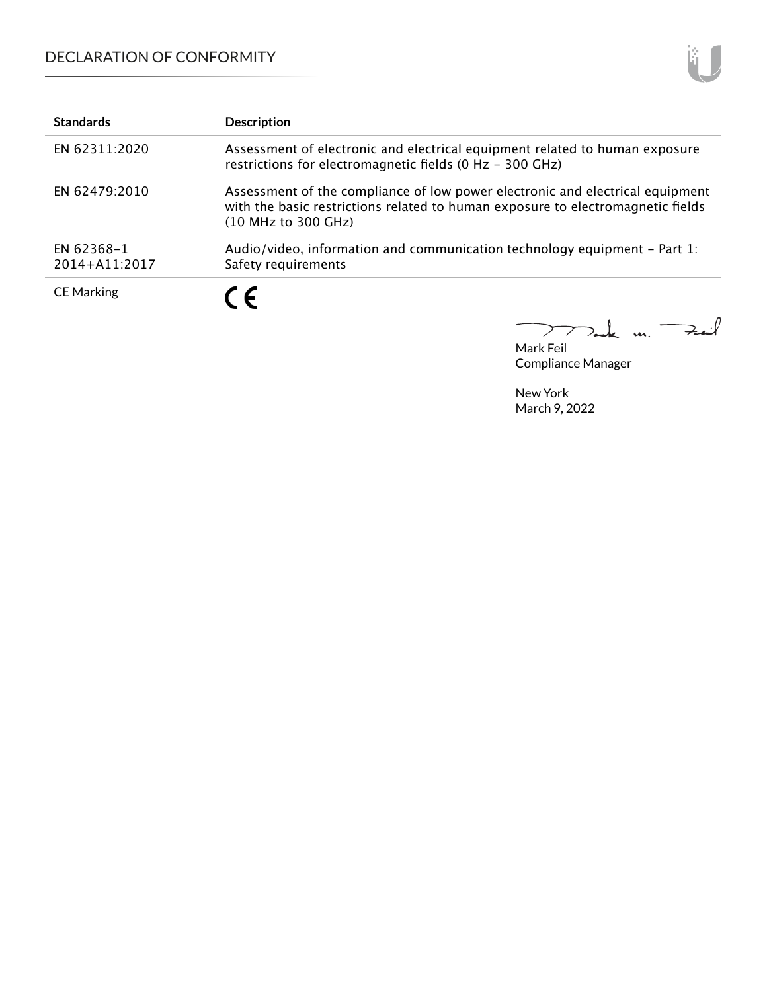| <b>Standards</b>            | <b>Description</b>                                                                                                                                                                      |
|-----------------------------|-----------------------------------------------------------------------------------------------------------------------------------------------------------------------------------------|
| EN 62311:2020               | Assessment of electronic and electrical equipment related to human exposure<br>restrictions for electromagnetic fields (0 Hz - 300 GHz)                                                 |
| EN 62479:2010               | Assessment of the compliance of low power electronic and electrical equipment<br>with the basic restrictions related to human exposure to electromagnetic fields<br>(10 MHz to 300 GHz) |
| EN 62368-1<br>2014+A11:2017 | Audio/video, information and communication technology equipment – Part 1:<br>Safety requirements                                                                                        |
| <b>CE Marking</b>           | C F                                                                                                                                                                                     |

 $\Rightarrow$ il  $m.$  $\sum$ 2

Mark Feil Compliance Manager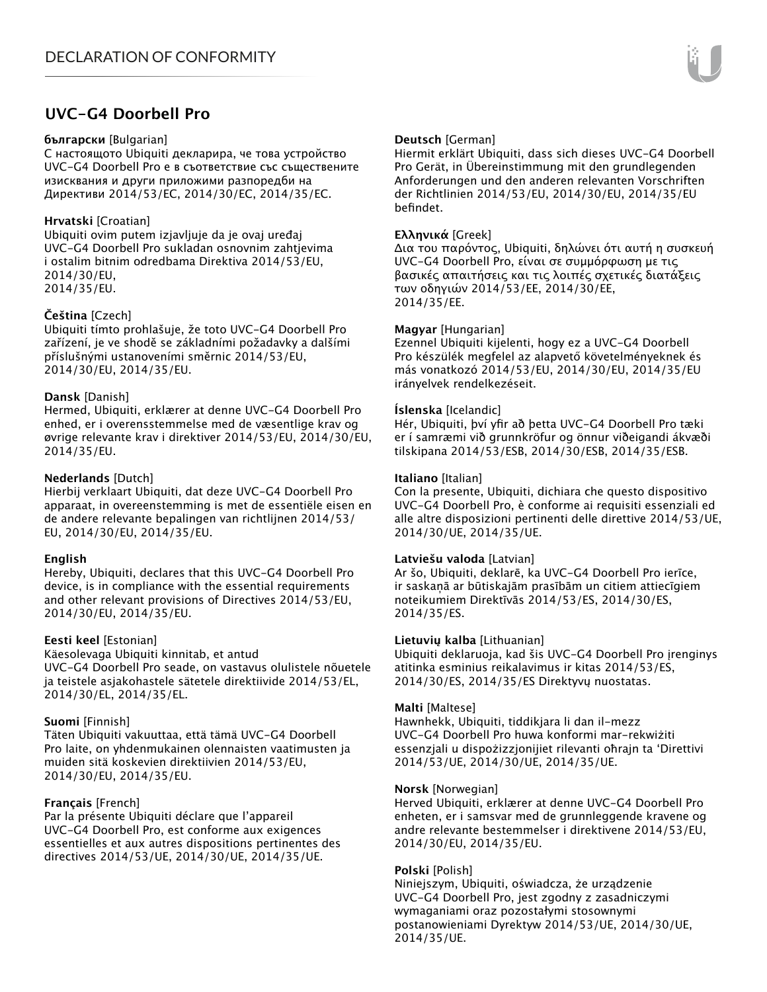# **UVC-G4 Doorbell Pro**

#### **български** [Bulgarian]

С настоящото Ubiquiti декларира, че това устройство UVC-G4 Doorbell Pro е в съответствие със съществените изисквания и други приложими разпоредби на Директиви 2014/53/EC, 2014/30/ЕС, 2014/35/ЕС.

### **Hrvatski** [Croatian]

Ubiquiti ovim putem izjavljuje da je ovaj uređaj UVC-G4 Doorbell Pro sukladan osnovnim zahtjevima i ostalim bitnim odredbama Direktiva 2014/53/EU, 2014/30/EU, 2014/35/EU.

### **Čeština** [Czech]

Ubiquiti tímto prohlašuje, že toto UVC-G4 Doorbell Pro zařízení, je ve shodě se základními požadavky a dalšími příslušnými ustanoveními směrnic 2014/53/EU, 2014/30/EU, 2014/35/EU.

## **Dansk** [Danish]

Hermed, Ubiquiti, erklærer at denne UVC-G4 Doorbell Pro enhed, er i overensstemmelse med de væsentlige krav og øvrige relevante krav i direktiver 2014/53/EU, 2014/30/EU, 2014/35/EU.

## **Nederlands** [Dutch]

Hierbij verklaart Ubiquiti, dat deze UVC-G4 Doorbell Pro apparaat, in overeenstemming is met de essentiële eisen en de andere relevante bepalingen van richtlijnen 2014/53/ EU, 2014/30/EU, 2014/35/EU.

### **English**

Hereby, Ubiquiti, declares that this UVC-G4 Doorbell Pro device, is in compliance with the essential requirements and other relevant provisions of Directives 2014/53/EU, 2014/30/EU, 2014/35/EU.

### **Eesti keel** [Estonian]

Käesolevaga Ubiquiti kinnitab, et antud UVC-G4 Doorbell Pro seade, on vastavus olulistele nõuetele ja teistele asjakohastele sätetele direktiivide 2014/53/EL, 2014/30/EL, 2014/35/EL.

### **Suomi** [Finnish]

Täten Ubiquiti vakuuttaa, että tämä UVC-G4 Doorbell Pro laite, on yhdenmukainen olennaisten vaatimusten ja muiden sitä koskevien direktiivien 2014/53/EU, 2014/30/EU, 2014/35/EU.

### **Français** [French]

Par la présente Ubiquiti déclare que l'appareil UVC-G4 Doorbell Pro, est conforme aux exigences essentielles et aux autres dispositions pertinentes des directives 2014/53/UE, 2014/30/UE, 2014/35/UE.

## **Deutsch** [German]

Hiermit erklärt Ubiquiti, dass sich dieses UVC-G4 Doorbell Pro Gerät, in Übereinstimmung mit den grundlegenden Anforderungen und den anderen relevanten Vorschriften der Richtlinien 2014/53/EU, 2014/30/EU, 2014/35/EU befindet.

## **Ελληνικά** [Greek]

Δια του παρόντος, Ubiquiti, δηλώνει ότι αυτή η συσκευή UVC-G4 Doorbell Pro, είναι σε συμμόρφωση με τις βασικές απαιτήσεις και τις λοιπές σχετικές διατάξεις των οδηγιών 2014/53/EE, 2014/30/EE, 2014/35/EE.

### **Magyar** [Hungarian]

Ezennel Ubiquiti kijelenti, hogy ez a UVC-G4 Doorbell Pro készülék megfelel az alapvető követelményeknek és más vonatkozó 2014/53/EU, 2014/30/EU, 2014/35/EU irányelvek rendelkezéseit.

### **Íslenska** [Icelandic]

Hér, Ubiquiti, því yfir að þetta UVC-G4 Doorbell Pro tæki er í samræmi við grunnkröfur og önnur viðeigandi ákvæði tilskipana 2014/53/ESB, 2014/30/ESB, 2014/35/ESB.

## **Italiano** [Italian]

Con la presente, Ubiquiti, dichiara che questo dispositivo UVC-G4 Doorbell Pro, è conforme ai requisiti essenziali ed alle altre disposizioni pertinenti delle direttive 2014/53/UE, 2014/30/UE, 2014/35/UE.

### **Latviešu valoda** [Latvian]

Ar šo, Ubiquiti, deklarē, ka UVC-G4 Doorbell Pro ierīce, ir saskaņā ar būtiskajām prasībām un citiem attiecīgiem noteikumiem Direktīvās 2014/53/ES, 2014/30/ES, 2014/35/ES.

### **Lietuvių kalba** [Lithuanian]

Ubiquiti deklaruoja, kad šis UVC-G4 Doorbell Pro įrenginys atitinka esminius reikalavimus ir kitas 2014/53/ES, 2014/30/ES, 2014/35/ES Direktyvų nuostatas.

### **Malti** [Maltese]

Hawnhekk, Ubiquiti, tiddikjara li dan il-mezz UVC-G4 Doorbell Pro huwa konformi mar-rekwiżiti essenzjali u dispożizzjonijiet rilevanti oħrajn ta 'Direttivi 2014/53/UE, 2014/30/UE, 2014/35/UE.

### **Norsk** [Norwegian]

Herved Ubiquiti, erklærer at denne UVC-G4 Doorbell Pro enheten, er i samsvar med de grunnleggende kravene og andre relevante bestemmelser i direktivene 2014/53/EU, 2014/30/EU, 2014/35/EU.

### **Polski** [Polish]

Niniejszym, Ubiquiti, oświadcza, że urządzenie UVC-G4 Doorbell Pro, jest zgodny z zasadniczymi wymaganiami oraz pozostałymi stosownymi postanowieniami Dyrektyw 2014/53/UE, 2014/30/UE, 2014/35/UE.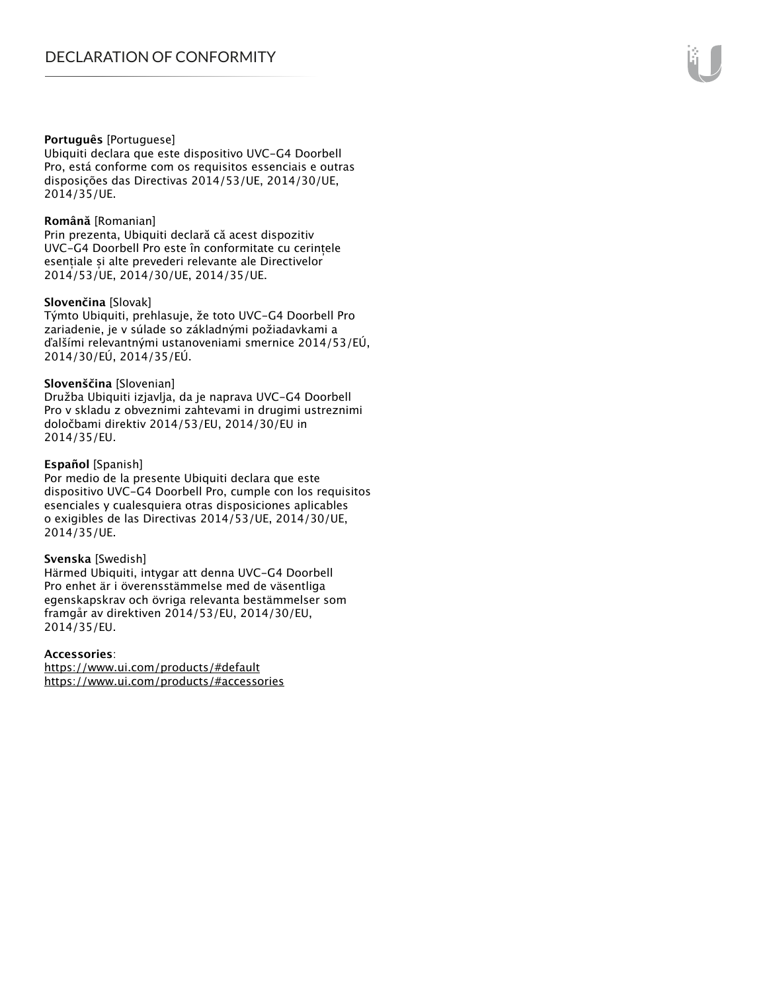#### **Português** [Portuguese]

Ubiquiti declara que este dispositivo UVC-G4 Doorbell Pro, está conforme com os requisitos essenciais e outras disposições das Directivas 2014/53/UE, 2014/30/UE, 2014/35/UE.

#### **Română** [Romanian]

Prin prezenta, Ubiquiti declară că acest dispozitiv UVC-G4 Doorbell Pro este în conformitate cu cerințele esentiale și alte prevederi relevante ale Directivelor 2014/53/UE, 2014/30/UE, 2014/35/UE.

#### **Slovenčina** [Slovak]

Týmto Ubiquiti, prehlasuje, že toto UVC-G4 Doorbell Pro zariadenie, je v súlade so základnými požiadavkami a ďalšími relevantnými ustanoveniami smernice 2014/53/EÚ, 2014/30/EÚ, 2014/35/EÚ.

#### **Slovenščina** [Slovenian]

Družba Ubiquiti izjavlja, da je naprava UVC-G4 Doorbell Pro v skladu z obveznimi zahtevami in drugimi ustreznimi določbami direktiv 2014/53/EU, 2014/30/EU in 2014/35/EU.

#### **Español** [Spanish]

Por medio de la presente Ubiquiti declara que este dispositivo UVC-G4 Doorbell Pro, cumple con los requisitos esenciales y cualesquiera otras disposiciones aplicables o exigibles de las Directivas 2014/53/UE, 2014/30/UE, 2014/35/UE.

#### **Svenska** [Swedish]

Härmed Ubiquiti, intygar att denna UVC-G4 Doorbell Pro enhet är i överensstämmelse med de väsentliga egenskapskrav och övriga relevanta bestämmelser som framgår av direktiven 2014/53/EU, 2014/30/EU, 2014/35/EU.

#### **Accessories**:

https://www.ui.com/products/#default https://www.ui.com/products/#accessories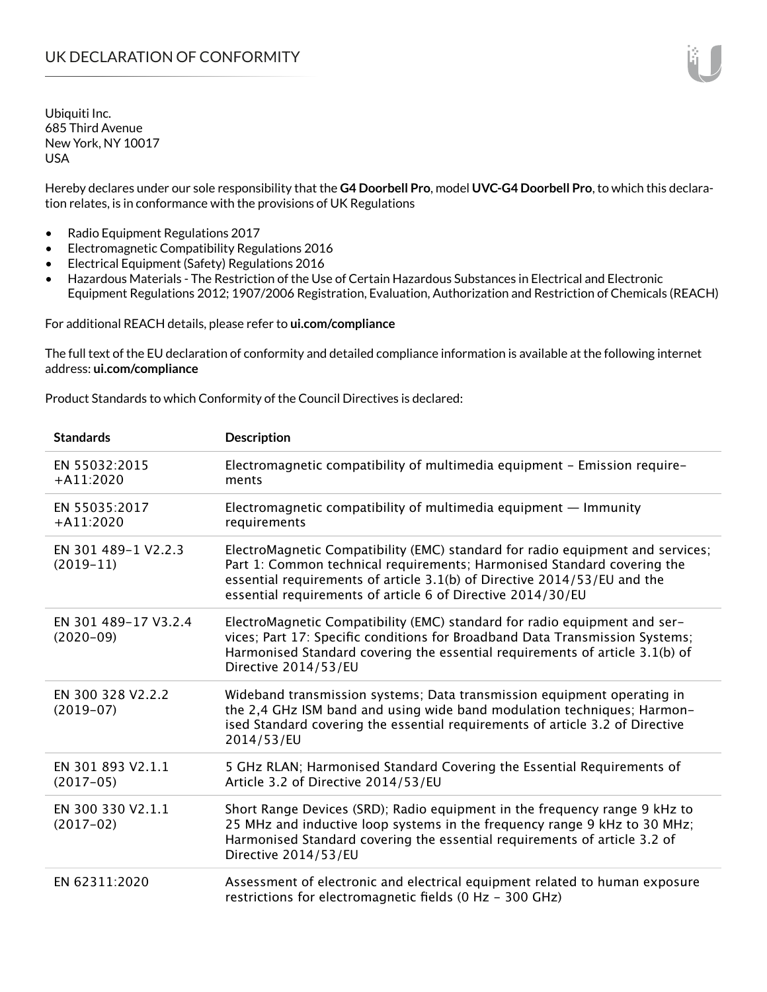Hereby declares under our sole responsibility that the **G4 Doorbell Pro**, model **UVC-G4 Doorbell Pro**, to which this declaration relates, is in conformance with the provisions of UK Regulations

- Radio Equipment Regulations 2017
- Electromagnetic Compatibility Regulations 2016
- Electrical Equipment (Safety) Regulations 2016
- Hazardous Materials The Restriction of the Use of Certain Hazardous Substances in Electrical and Electronic Equipment Regulations 2012; 1907/2006 Registration, Evaluation, Authorization and Restriction of Chemicals (REACH)

For additional REACH details, please refer to **ui.com/compliance**

The full text of the EU declaration of conformity and detailed compliance information is available at the following internet address: **ui.com/compliance**

Product Standards to which Conformity of the Council Directives is declared:

| <b>Standards</b>                    | <b>Description</b>                                                                                                                                                                                                                                                                                   |
|-------------------------------------|------------------------------------------------------------------------------------------------------------------------------------------------------------------------------------------------------------------------------------------------------------------------------------------------------|
| EN 55032:2015<br>$+A11:2020$        | Electromagnetic compatibility of multimedia equipment - Emission require-<br>ments                                                                                                                                                                                                                   |
| EN 55035:2017<br>$+A11:2020$        | Electromagnetic compatibility of multimedia equipment $-$ Immunity<br>requirements                                                                                                                                                                                                                   |
| EN 301 489-1 V2.2.3<br>$(2019-11)$  | ElectroMagnetic Compatibility (EMC) standard for radio equipment and services;<br>Part 1: Common technical requirements; Harmonised Standard covering the<br>essential requirements of article 3.1(b) of Directive 2014/53/EU and the<br>essential requirements of article 6 of Directive 2014/30/EU |
| EN 301 489-17 V3.2.4<br>$(2020-09)$ | ElectroMagnetic Compatibility (EMC) standard for radio equipment and ser-<br>vices; Part 17: Specific conditions for Broadband Data Transmission Systems;<br>Harmonised Standard covering the essential requirements of article 3.1(b) of<br>Directive 2014/53/EU                                    |
| EN 300 328 V2.2.2<br>$(2019-07)$    | Wideband transmission systems; Data transmission equipment operating in<br>the 2,4 GHz ISM band and using wide band modulation techniques; Harmon-<br>ised Standard covering the essential requirements of article 3.2 of Directive<br>2014/53/EU                                                    |
| EN 301 893 V2.1.1<br>$(2017-05)$    | 5 GHz RLAN; Harmonised Standard Covering the Essential Requirements of<br>Article 3.2 of Directive 2014/53/EU                                                                                                                                                                                        |
| EN 300 330 V2.1.1<br>$(2017-02)$    | Short Range Devices (SRD); Radio equipment in the frequency range 9 kHz to<br>25 MHz and inductive loop systems in the frequency range 9 kHz to 30 MHz;<br>Harmonised Standard covering the essential requirements of article 3.2 of<br>Directive 2014/53/EU                                         |
| EN 62311:2020                       | Assessment of electronic and electrical equipment related to human exposure<br>restrictions for electromagnetic fields (0 Hz - 300 GHz)                                                                                                                                                              |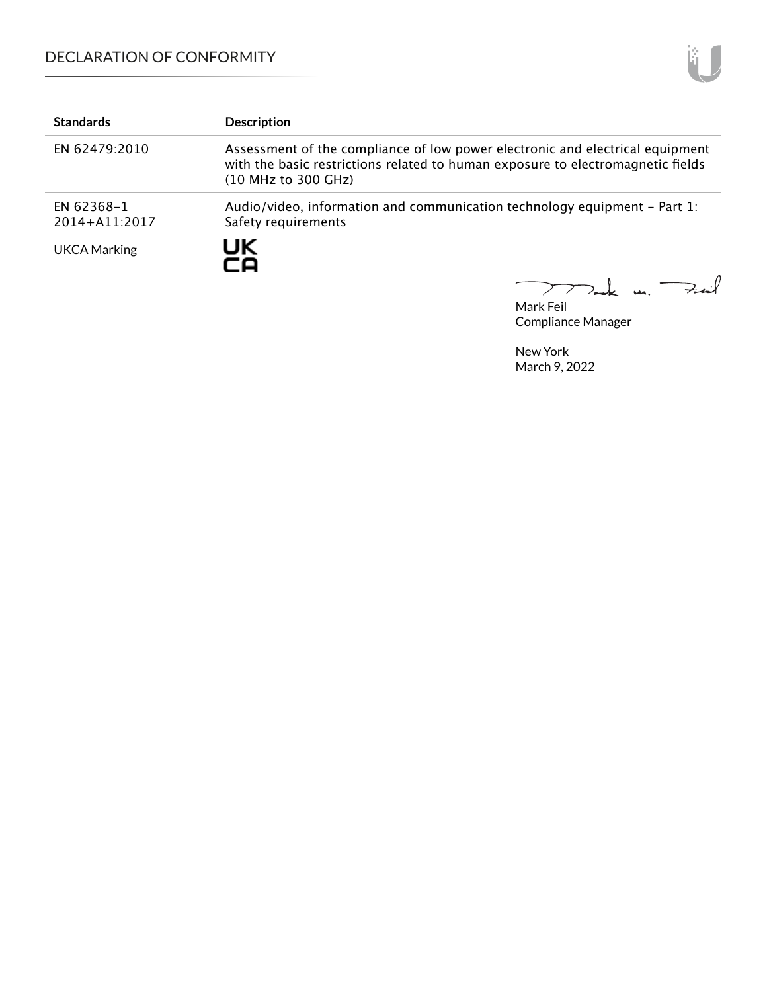# DECLARATION OF CONFORMITY

| <b>Standards</b>            | <b>Description</b>                                                                                                                                                                      |
|-----------------------------|-----------------------------------------------------------------------------------------------------------------------------------------------------------------------------------------|
| EN 62479:2010               | Assessment of the compliance of low power electronic and electrical equipment<br>with the basic restrictions related to human exposure to electromagnetic fields<br>(10 MHz to 300 GHz) |
| EN 62368-1<br>2014+A11:2017 | Audio/video, information and communication technology equipment – Part 1:<br>Safety requirements                                                                                        |
| <b>UKCA Marking</b>         | UK<br>го                                                                                                                                                                                |

Tak m. Fail  $\overline{\phantom{0}}$  $\mathcal{P}\mathcal{T}$ 

Mark Feil Compliance Manager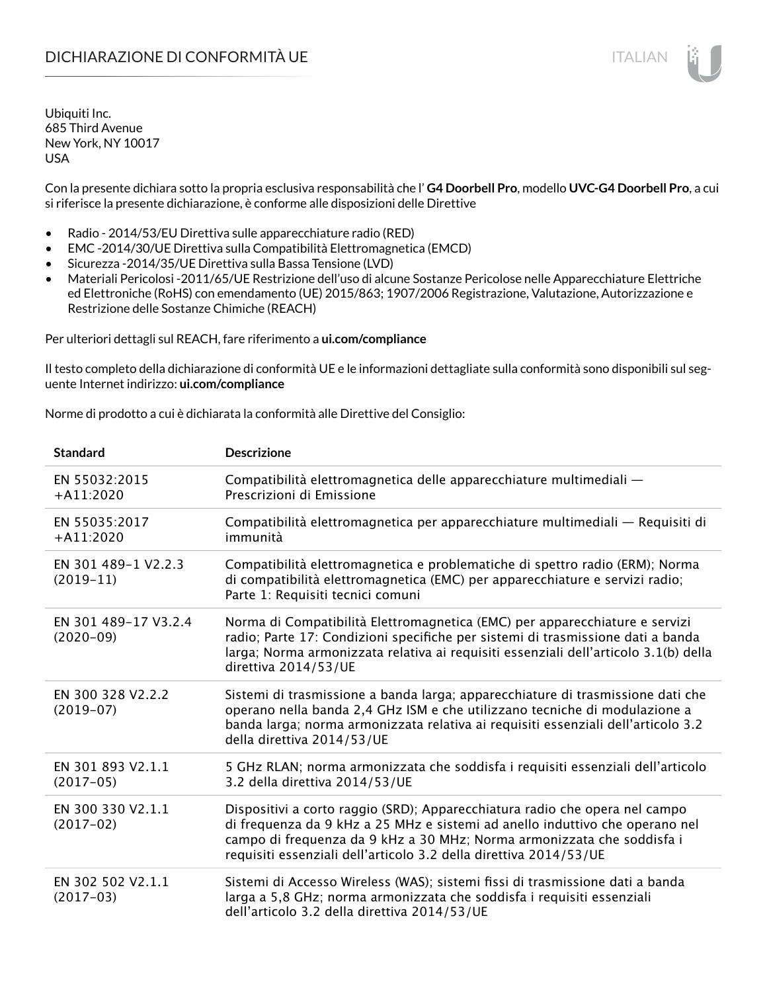Con la presente dichiara sotto la propria esclusiva responsabilità che l' **G4 Doorbell Pro**, modello **UVC-G4 Doorbell Pro**, a cui si riferisce la presente dichiarazione, è conforme alle disposizioni delle Direttive

- Radio 2014/53/EU Direttiva sulle apparecchiature radio (RED)
- EMC -2014/30/UE Direttiva sulla Compatibilità Elettromagnetica (EMCD)
- Sicurezza -2014/35/UE Direttiva sulla Bassa Tensione (LVD)
- Materiali Pericolosi -2011/65/UE Restrizione dell'uso di alcune Sostanze Pericolose nelle Apparecchiature Elettriche ed Elettroniche (RoHS) con emendamento (UE) 2015/863; 1907/2006 Registrazione, Valutazione, Autorizzazione e Restrizione delle Sostanze Chimiche (REACH)

Per ulteriori dettagli sul REACH, fare riferimento a **ui.com/compliance**

Il testo completo della dichiarazione di conformità UE e le informazioni dettagliate sulla conformità sono disponibili sul seguente Internet indirizzo: **ui.com/compliance**

Norme di prodotto a cui è dichiarata la conformità alle Direttive del Consiglio:

| <b>Standard</b>                     | <b>Descrizione</b>                                                                                                                                                                                                                                                                                         |
|-------------------------------------|------------------------------------------------------------------------------------------------------------------------------------------------------------------------------------------------------------------------------------------------------------------------------------------------------------|
| EN 55032:2015<br>$+A11:2020$        | Compatibilità elettromagnetica delle apparecchiature multimediali -<br>Prescrizioni di Emissione                                                                                                                                                                                                           |
| EN 55035:2017<br>$+A11:2020$        | Compatibilità elettromagnetica per apparecchiature multimediali - Requisiti di<br>immunità                                                                                                                                                                                                                 |
| EN 301 489-1 V2.2.3<br>$(2019-11)$  | Compatibilità elettromagnetica e problematiche di spettro radio (ERM); Norma<br>di compatibilità elettromagnetica (EMC) per apparecchiature e servizi radio;<br>Parte 1: Requisiti tecnici comuni                                                                                                          |
| EN 301 489-17 V3.2.4<br>$(2020-09)$ | Norma di Compatibilità Elettromagnetica (EMC) per apparecchiature e servizi<br>radio; Parte 17: Condizioni specifiche per sistemi di trasmissione dati a banda<br>larga; Norma armonizzata relativa ai requisiti essenziali dell'articolo 3.1(b) della<br>direttiva 2014/53/UE                             |
| EN 300 328 V2.2.2<br>$(2019-07)$    | Sistemi di trasmissione a banda larga; apparecchiature di trasmissione dati che<br>operano nella banda 2,4 GHz ISM e che utilizzano tecniche di modulazione a<br>banda larga; norma armonizzata relativa ai requisiti essenziali dell'articolo 3.2<br>della direttiva 2014/53/UE                           |
| EN 301 893 V2.1.1<br>$(2017-05)$    | 5 GHz RLAN; norma armonizzata che soddisfa i requisiti essenziali dell'articolo<br>3.2 della direttiva 2014/53/UE                                                                                                                                                                                          |
| EN 300 330 V2.1.1<br>$(2017-02)$    | Dispositivi a corto raggio (SRD); Apparecchiatura radio che opera nel campo<br>di frequenza da 9 kHz a 25 MHz e sistemi ad anello induttivo che operano nel<br>campo di frequenza da 9 kHz a 30 MHz; Norma armonizzata che soddisfa i<br>requisiti essenziali dell'articolo 3.2 della direttiva 2014/53/UE |
| EN 302 502 V2.1.1<br>$(2017-03)$    | Sistemi di Accesso Wireless (WAS); sistemi fissi di trasmissione dati a banda<br>larga a 5,8 GHz; norma armonizzata che soddisfa i requisiti essenziali<br>dell'articolo 3.2 della direttiva 2014/53/UE                                                                                                    |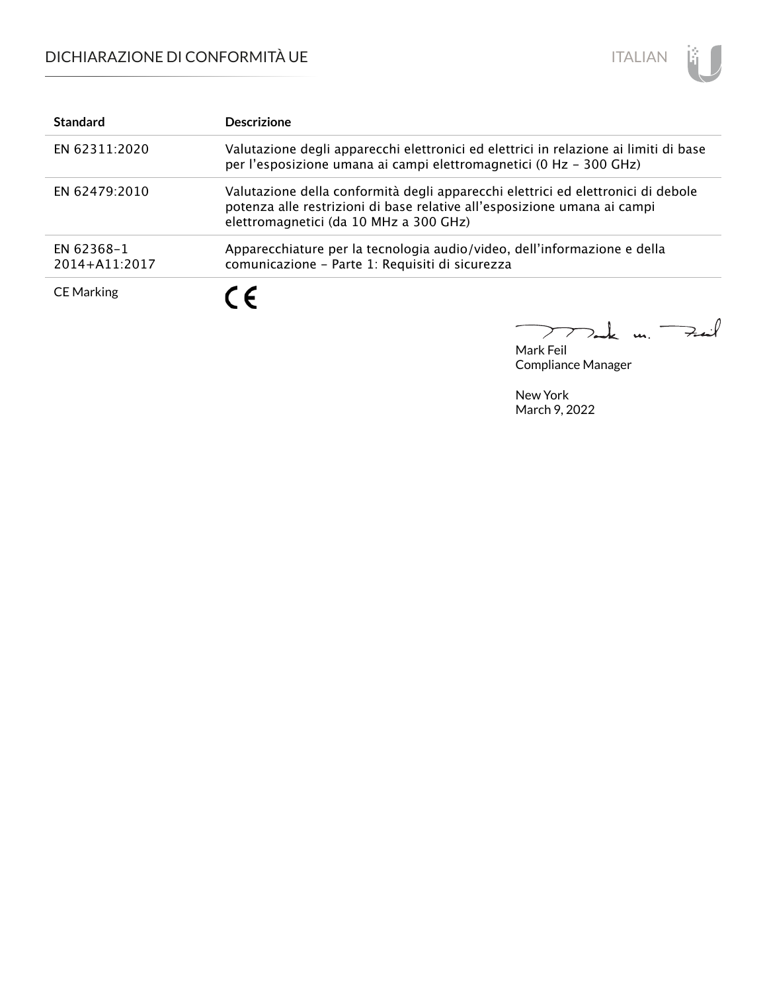

| <b>Standard</b>             | <b>Descrizione</b>                                                                                                                                                                                     |
|-----------------------------|--------------------------------------------------------------------------------------------------------------------------------------------------------------------------------------------------------|
| EN 62311:2020               | Valutazione degli apparecchi elettronici ed elettrici in relazione ai limiti di base<br>per l'esposizione umana ai campi elettromagnetici (0 Hz - 300 GHz)                                             |
| EN 62479:2010               | Valutazione della conformità degli apparecchi elettrici ed elettronici di debole<br>potenza alle restrizioni di base relative all'esposizione umana ai campi<br>elettromagnetici (da 10 MHz a 300 GHz) |
| EN 62368-1<br>2014+A11:2017 | Apparecchiature per la tecnologia audio/video, dell'informazione e della<br>comunicazione - Parte 1: Requisiti di sicurezza                                                                            |
| <b>CE Marking</b>           | $\epsilon$                                                                                                                                                                                             |

m. Fail  $\sum$ つ.

Mark Feil Compliance Manager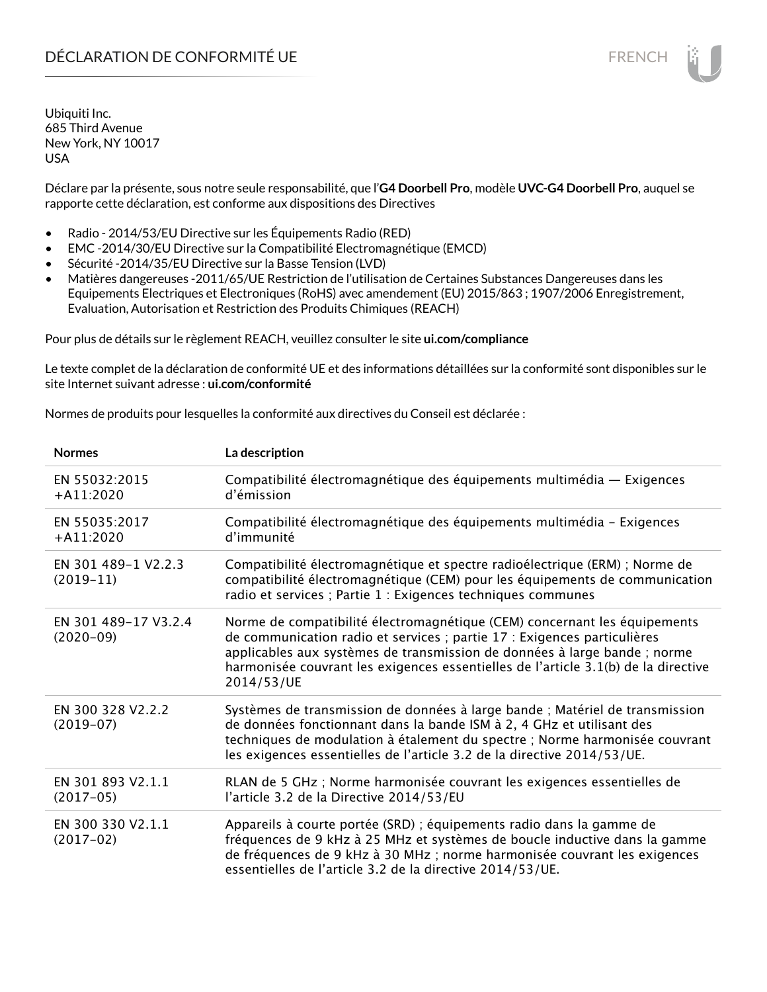Déclare par la présente, sous notre seule responsabilité, que l'**G4 Doorbell Pro**, modèle **UVC-G4 Doorbell Pro**, auquel se rapporte cette déclaration, est conforme aux dispositions des Directives

- Radio 2014/53/EU Directive sur les Équipements Radio (RED)
- EMC -2014/30/EU Directive sur la Compatibilité Electromagnétique (EMCD)
- Sécurité -2014/35/EU Directive sur la Basse Tension (LVD)
- Matières dangereuses -2011/65/UE Restriction de l'utilisation de Certaines Substances Dangereuses dans les Equipements Electriques et Electroniques (RoHS) avec amendement (EU) 2015/863 ; 1907/2006 Enregistrement, Evaluation, Autorisation et Restriction des Produits Chimiques (REACH)

Pour plus de détails sur le règlement REACH, veuillez consulter le site **ui.com/compliance**

Le texte complet de la déclaration de conformité UE et des informations détaillées sur la conformité sont disponibles sur le site Internet suivant adresse : **ui.com/conformité**

Normes de produits pour lesquelles la conformité aux directives du Conseil est déclarée :

| <b>Normes</b>                       | La description                                                                                                                                                                                                                                                                                                                         |
|-------------------------------------|----------------------------------------------------------------------------------------------------------------------------------------------------------------------------------------------------------------------------------------------------------------------------------------------------------------------------------------|
| EN 55032:2015<br>$+A11:2020$        | Compatibilité électromagnétique des équipements multimédia - Exigences<br>d'émission                                                                                                                                                                                                                                                   |
| EN 55035:2017<br>$+$ A11:2020       | Compatibilité électromagnétique des équipements multimédia - Exigences<br>d'immunité                                                                                                                                                                                                                                                   |
| EN 301 489-1 V2.2.3<br>$(2019-11)$  | Compatibilité électromagnétique et spectre radioélectrique (ERM) ; Norme de<br>compatibilité électromagnétique (CEM) pour les équipements de communication<br>radio et services ; Partie 1 : Exigences techniques communes                                                                                                             |
| EN 301 489-17 V3.2.4<br>$(2020-09)$ | Norme de compatibilité électromagnétique (CEM) concernant les équipements<br>de communication radio et services ; partie 17 : Exigences particulières<br>applicables aux systèmes de transmission de données à large bande ; norme<br>harmonisée couvrant les exigences essentielles de l'article 3.1(b) de la directive<br>2014/53/UE |
| EN 300 328 V2.2.2<br>$(2019-07)$    | Systèmes de transmission de données à large bande ; Matériel de transmission<br>de données fonctionnant dans la bande ISM à 2, 4 GHz et utilisant des<br>techniques de modulation à étalement du spectre ; Norme harmonisée couvrant<br>les exigences essentielles de l'article 3.2 de la directive 2014/53/UE.                        |
| EN 301 893 V2.1.1<br>$(2017-05)$    | RLAN de 5 GHz ; Norme harmonisée couvrant les exigences essentielles de<br>l'article 3.2 de la Directive 2014/53/EU                                                                                                                                                                                                                    |
| EN 300 330 V2.1.1<br>$(2017-02)$    | Appareils à courte portée (SRD) ; équipements radio dans la gamme de<br>fréquences de 9 kHz à 25 MHz et systèmes de boucle inductive dans la gamme<br>de fréquences de 9 kHz à 30 MHz ; norme harmonisée couvrant les exigences<br>essentielles de l'article 3.2 de la directive 2014/53/UE.                                           |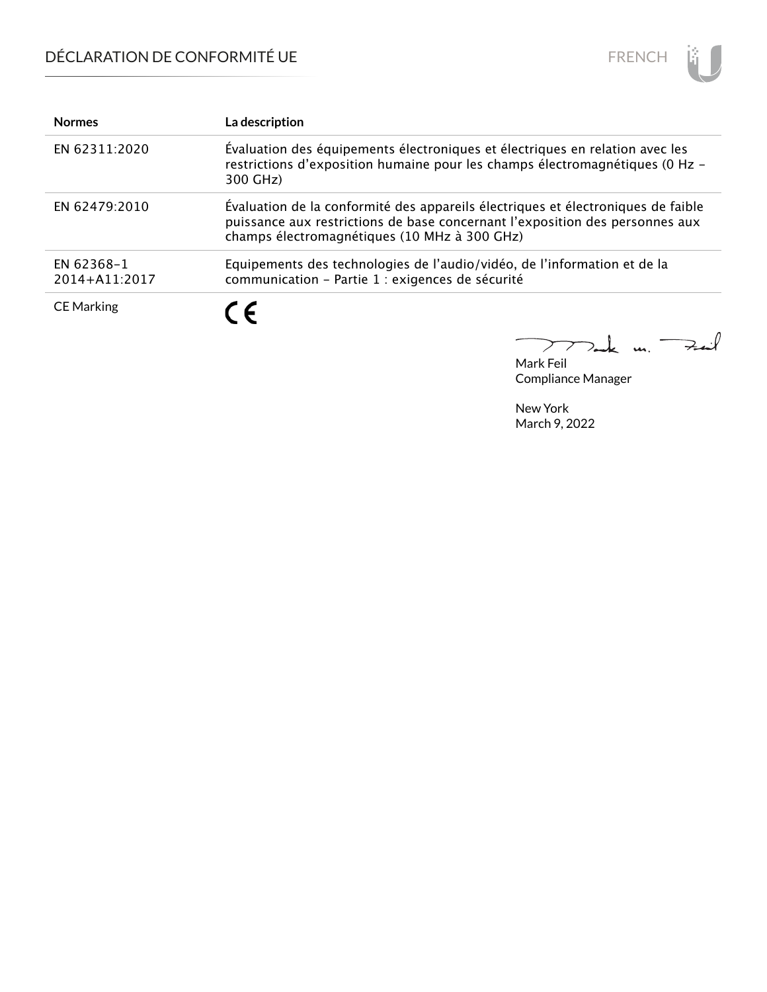

| <b>Normes</b>               | La description                                                                                                                                                                                                   |
|-----------------------------|------------------------------------------------------------------------------------------------------------------------------------------------------------------------------------------------------------------|
| EN 62311:2020               | Évaluation des équipements électroniques et électriques en relation avec les<br>restrictions d'exposition humaine pour les champs électromagnétiques (0 Hz -<br>300 GHz)                                         |
| EN 62479:2010               | Evaluation de la conformité des appareils électriques et électroniques de faible<br>puissance aux restrictions de base concernant l'exposition des personnes aux<br>champs électromagnétiques (10 MHz à 300 GHz) |
| EN 62368-1<br>2014+A11:2017 | Equipements des technologies de l'audio/vidéo, de l'information et de la<br>communication - Partie 1 : exigences de sécurité                                                                                     |
| <b>CE Marking</b>           | C E                                                                                                                                                                                                              |

Mark Feil<br>Mark Feil  $\overline{\phantom{0}}$ 

Compliance Manager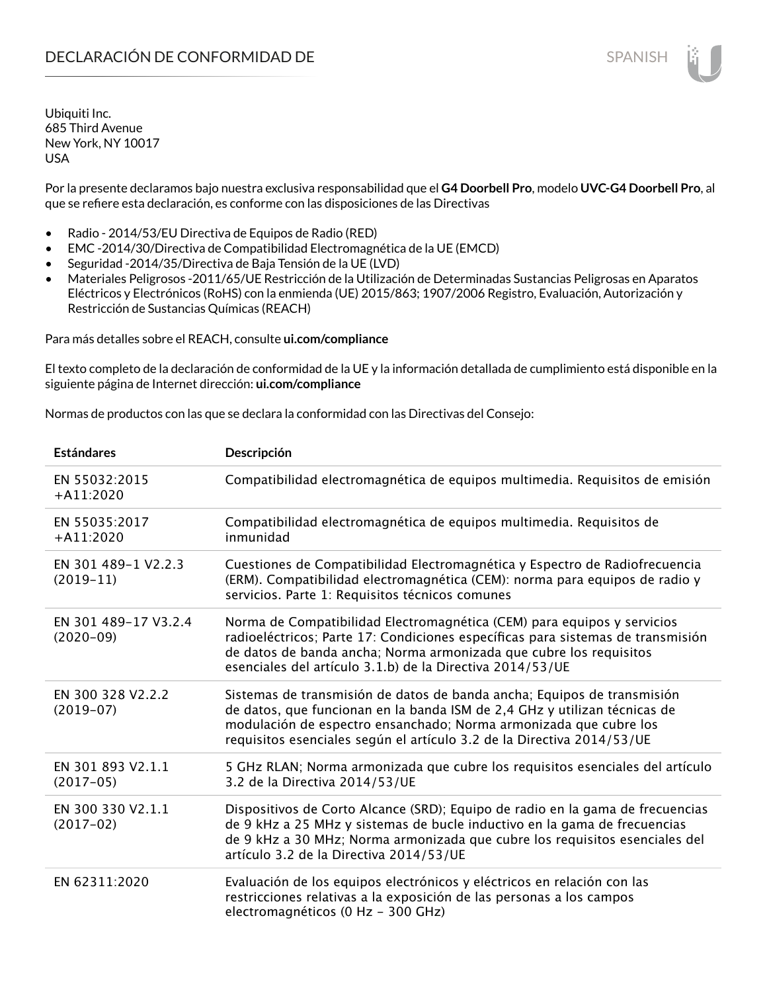Por la presente declaramos bajo nuestra exclusiva responsabilidad que el **G4 Doorbell Pro**, modelo **UVC-G4 Doorbell Pro**, al que se refiere esta declaración, es conforme con las disposiciones de las Directivas

- Radio 2014/53/EU Directiva de Equipos de Radio (RED)
- EMC -2014/30/Directiva de Compatibilidad Electromagnética de la UE (EMCD)
- Seguridad -2014/35/Directiva de Baja Tensión de la UE (LVD)
- Materiales Peligrosos -2011/65/UE Restricción de la Utilización de Determinadas Sustancias Peligrosas en Aparatos Eléctricos y Electrónicos (RoHS) con la enmienda (UE) 2015/863; 1907/2006 Registro, Evaluación, Autorización y Restricción de Sustancias Químicas (REACH)

Para más detalles sobre el REACH, consulte **ui.com/compliance**

El texto completo de la declaración de conformidad de la UE y la información detallada de cumplimiento está disponible en la siguiente página de Internet dirección: **ui.com/compliance**

Normas de productos con las que se declara la conformidad con las Directivas del Consejo:

| <b>Estándares</b>                   | Descripción                                                                                                                                                                                                                                                                                         |
|-------------------------------------|-----------------------------------------------------------------------------------------------------------------------------------------------------------------------------------------------------------------------------------------------------------------------------------------------------|
| EN 55032:2015<br>$+A11:2020$        | Compatibilidad electromagnética de equipos multimedia. Requisitos de emisión                                                                                                                                                                                                                        |
| EN 55035:2017<br>$+A11:2020$        | Compatibilidad electromagnética de equipos multimedia. Requisitos de<br>inmunidad                                                                                                                                                                                                                   |
| EN 301 489-1 V2.2.3<br>$(2019-11)$  | Cuestiones de Compatibilidad Electromagnética y Espectro de Radiofrecuencia<br>(ERM). Compatibilidad electromagnética (CEM): norma para equipos de radio y<br>servicios. Parte 1: Requisitos técnicos comunes                                                                                       |
| EN 301 489-17 V3.2.4<br>$(2020-09)$ | Norma de Compatibilidad Electromagnética (CEM) para equipos y servicios<br>radioeléctricos; Parte 17: Condiciones específicas para sistemas de transmisión<br>de datos de banda ancha; Norma armonizada que cubre los requisitos<br>esenciales del artículo 3.1.b) de la Directiva 2014/53/UE       |
| EN 300 328 V2.2.2<br>$(2019-07)$    | Sistemas de transmisión de datos de banda ancha; Equipos de transmisión<br>de datos, que funcionan en la banda ISM de 2,4 GHz y utilizan técnicas de<br>modulación de espectro ensanchado; Norma armonizada que cubre los<br>requisitos esenciales según el artículo 3.2 de la Directiva 2014/53/UE |
| EN 301 893 V2.1.1<br>$(2017-05)$    | 5 GHz RLAN; Norma armonizada que cubre los requisitos esenciales del artículo<br>3.2 de la Directiva 2014/53/UE                                                                                                                                                                                     |
| EN 300 330 V2.1.1<br>$(2017-02)$    | Dispositivos de Corto Alcance (SRD); Equipo de radio en la gama de frecuencias<br>de 9 kHz a 25 MHz y sistemas de bucle inductivo en la gama de frecuencias<br>de 9 kHz a 30 MHz; Norma armonizada que cubre los requisitos esenciales del<br>artículo 3.2 de la Directiva 2014/53/UE               |
| EN 62311:2020                       | Evaluación de los equipos electrónicos y eléctricos en relación con las<br>restricciones relativas a la exposición de las personas a los campos<br>electromagnéticos (0 Hz - 300 GHz)                                                                                                               |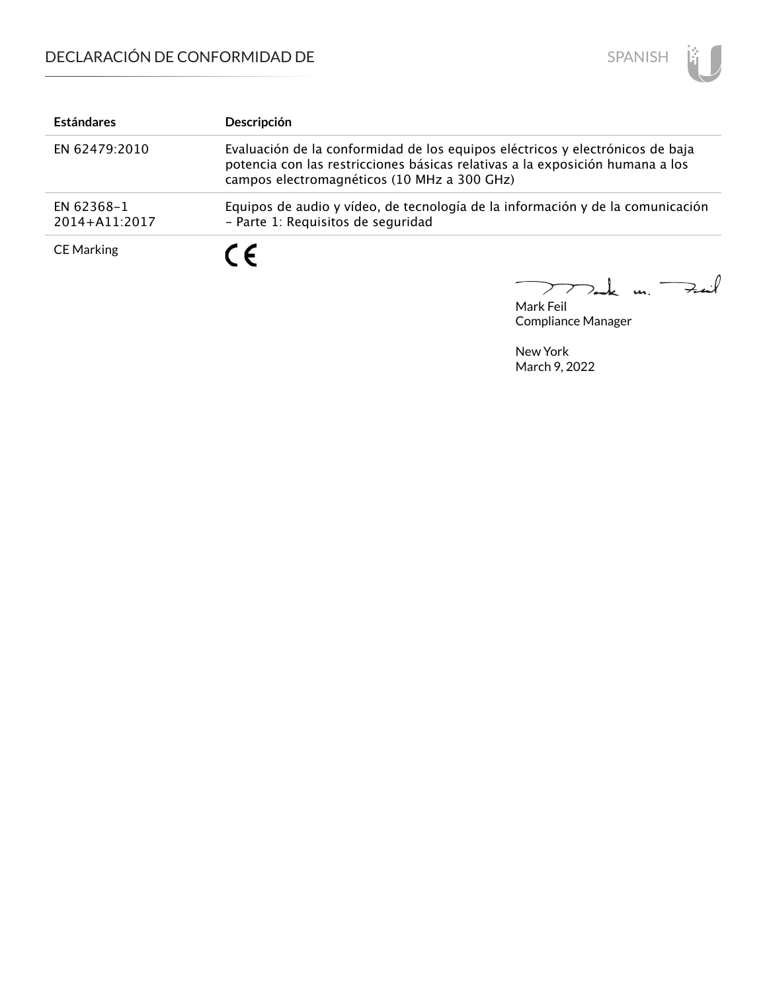

| <b>Estándares</b>           | Descripción                                                                                                                                                                                                   |
|-----------------------------|---------------------------------------------------------------------------------------------------------------------------------------------------------------------------------------------------------------|
| EN 62479:2010               | Evaluación de la conformidad de los equipos eléctricos y electrónicos de baja<br>potencia con las restricciones básicas relativas a la exposición humana a los<br>campos electromagnéticos (10 MHz a 300 GHz) |
| EN 62368-1<br>2014+A11:2017 | Equipos de audio y vídeo, de tecnología de la información y de la comunicación<br>- Parte 1: Requisitos de seguridad                                                                                          |
| <b>CE Marking</b>           | $\epsilon$                                                                                                                                                                                                    |

Mark Feil<br>Mark Feil  $\overline{\phantom{0}}$ 

Compliance Manager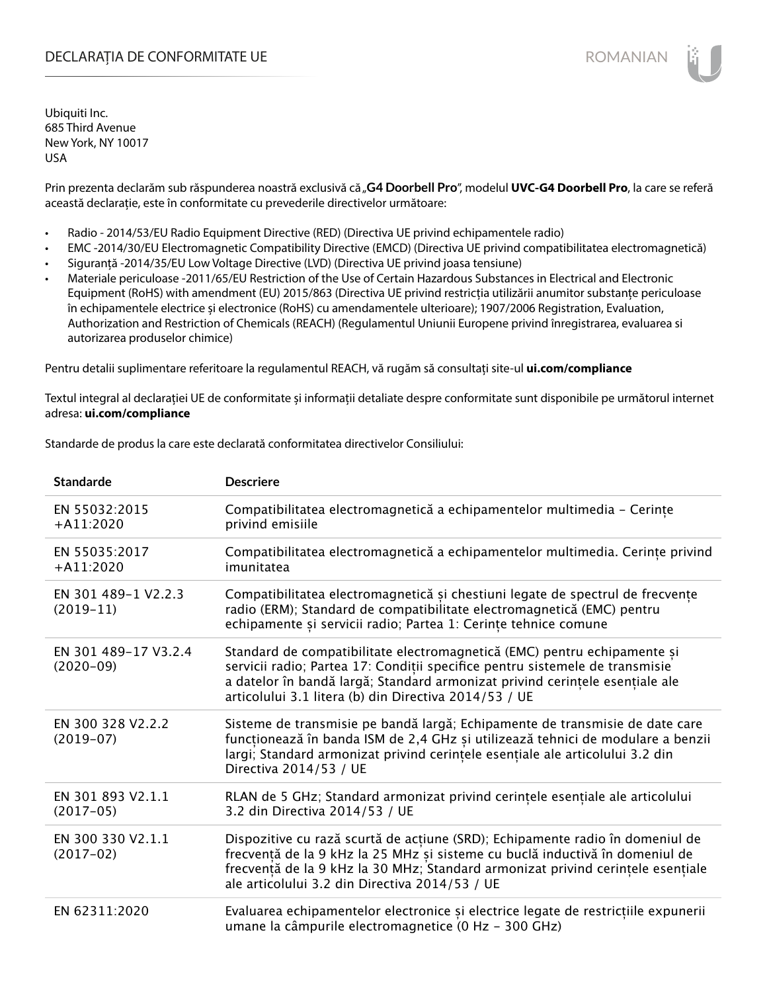## DECLARAȚIA DE CONFORMITATE UE EXECUTE DE ROMANIAN

Ubiquiti Inc. 685 Third Avenue New York, NY 10017 USA

Prin prezenta declarăm sub răspunderea noastră exclusivă că "G4 Doorbell Pro", modelul UVC-G4 Doorbell Pro, la care se referă această declarație, este în conformitate cu prevederile directivelor următoare:

- Radio 2014/53/EU Radio Equipment Directive (RED) (Directiva UE privind echipamentele radio)
- EMC -2014/30/EU Electromagnetic Compatibility Directive (EMCD) (Directiva UE privind compatibilitatea electromagnetică)
- Siguranță -2014/35/EU Low Voltage Directive (LVD) (Directiva UE privind joasa tensiune)
- Materiale periculoase -2011/65/EU Restriction of the Use of Certain Hazardous Substances in Electrical and Electronic Equipment (RoHS) with amendment (EU) 2015/863 (Directiva UE privind restricția utilizării anumitor substanțe periculoase în echipamentele electrice și electronice (RoHS) cu amendamentele ulterioare); 1907/2006 Registration, Evaluation, Authorization and Restriction of Chemicals (REACH) (Regulamentul Uniunii Europene privind înregistrarea, evaluarea si autorizarea produselor chimice)

Pentru detalii suplimentare referitoare la regulamentul REACH, vă rugăm să consultați site-ul **ui.com/compliance**

Textul integral al declarației UE de conformitate și informații detaliate despre conformitate sunt disponibile pe următorul internet adresa: **ui.com/compliance**

Standarde de produs la care este declarată conformitatea directivelor Consiliului:

| <b>Standarde</b>                    | <b>Descriere</b>                                                                                                                                                                                                                                                                                   |
|-------------------------------------|----------------------------------------------------------------------------------------------------------------------------------------------------------------------------------------------------------------------------------------------------------------------------------------------------|
| EN 55032:2015<br>$+A11:2020$        | Compatibilitatea electromagnetică a echipamentelor multimedia - Cerințe<br>privind emisiile                                                                                                                                                                                                        |
| EN 55035:2017<br>$+A11:2020$        | Compatibilitatea electromagnetică a echipamentelor multimedia. Cerințe privind<br>imunitatea                                                                                                                                                                                                       |
| EN 301 489-1 V2.2.3<br>$(2019-11)$  | Compatibilitatea electromagnetică și chestiuni legate de spectrul de frecvențe<br>radio (ERM); Standard de compatibilitate electromagnetică (EMC) pentru<br>echipamente și servicii radio; Partea 1: Cerințe tehnice comune                                                                        |
| EN 301 489-17 V3.2.4<br>$(2020-09)$ | Standard de compatibilitate electromagnetică (EMC) pentru echipamente și<br>servicii radio; Partea 17: Condiții specifice pentru sistemele de transmisie<br>a datelor în bandă largă; Standard armonizat privind cerințele esențiale ale<br>articolului 3.1 litera (b) din Directiva 2014/53 / UE  |
| EN 300 328 V2.2.2<br>$(2019-07)$    | Sisteme de transmisie pe bandă largă; Echipamente de transmisie de date care<br>funcționează în banda ISM de 2,4 GHz și utilizează tehnici de modulare a benzii<br>largi; Standard armonizat privind cerințele esențiale ale articolului 3.2 din<br>Directiva 2014/53 / UE                         |
| EN 301 893 V2.1.1<br>$(2017-05)$    | RLAN de 5 GHz; Standard armonizat privind cerințele esențiale ale articolului<br>3.2 din Directiva 2014/53 / UE                                                                                                                                                                                    |
| EN 300 330 V2.1.1<br>$(2017-02)$    | Dispozitive cu rază scurtă de acțiune (SRD); Echipamente radio în domeniul de<br>frecvență de la 9 kHz la 25 MHz și sisteme cu buclă inductivă în domeniul de<br>frecvență de la 9 kHz la 30 MHz; Standard armonizat privind cerințele esențiale<br>ale articolului 3.2 din Directiva 2014/53 / UE |
| EN 62311:2020                       | Evaluarea echipamentelor electronice și electrice legate de restricțiile expunerii<br>umane la câmpurile electromagnetice (0 Hz - 300 GHz)                                                                                                                                                         |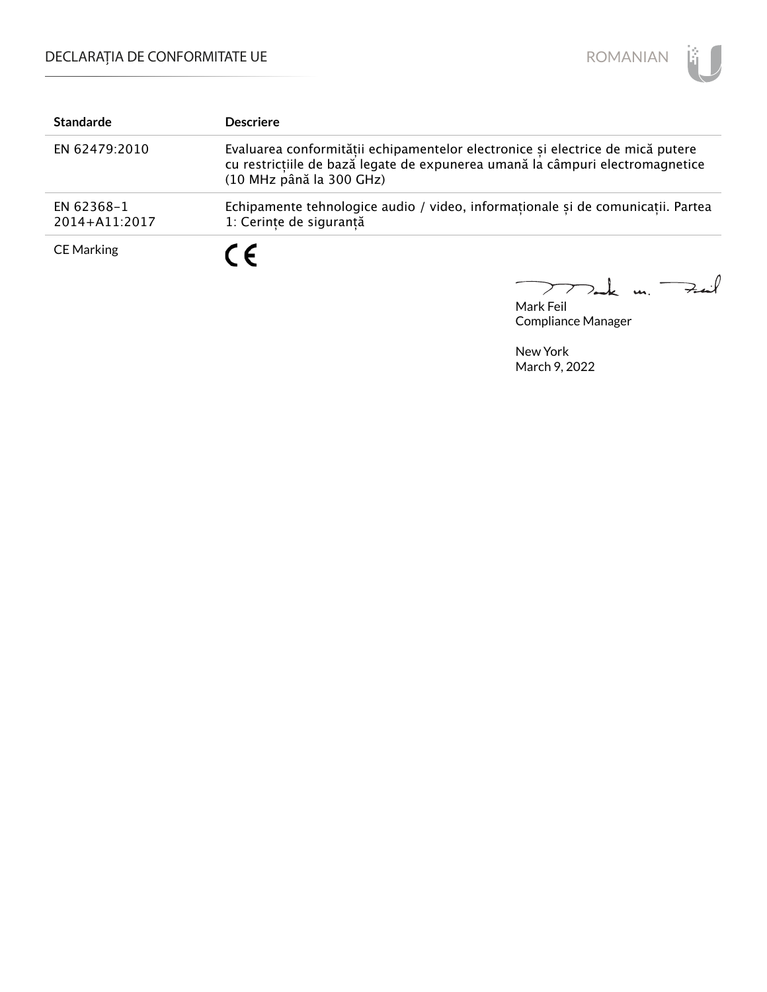

| <b>Standarde</b>            | <b>Descriere</b>                                                                                                                                                                            |
|-----------------------------|---------------------------------------------------------------------------------------------------------------------------------------------------------------------------------------------|
| EN 62479:2010               | Evaluarea conformitătii echipamentelor electronice și electrice de mică putere<br>cu restricțiile de bază legate de expunerea umană la câmpuri electromagnetice<br>(10 MHz până la 300 GHz) |
| EN 62368-1<br>2014+A11:2017 | Echipamente tehnologice audio / video, informaționale și de comunicații. Partea<br>1: Cerințe de siguranță                                                                                  |
| <b>CE Marking</b>           | $\epsilon$                                                                                                                                                                                  |

Mark Feil<br>Mark Feil  $\overline{\phantom{0}}$ 

Compliance Manager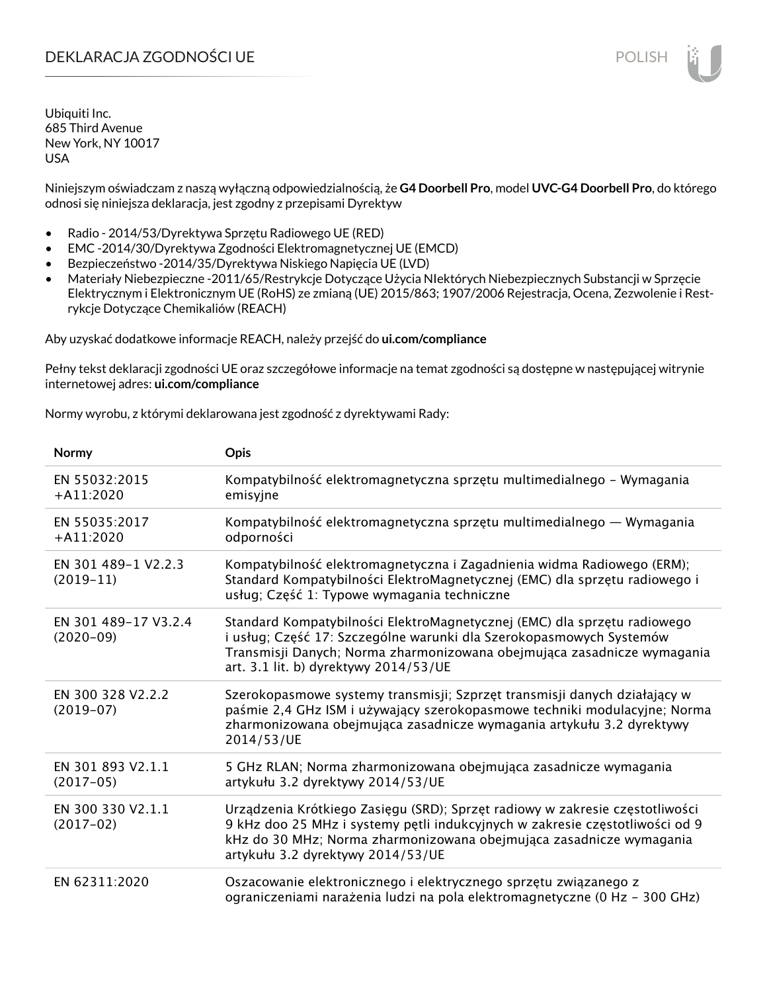# DEKLARACJA ZGODNOŚCI UE POLISH POLISH

Ubiquiti Inc. 685 Third Avenue New York, NY 10017 USA

Niniejszym oświadczam z naszą wyłączną odpowiedzialnością, że **G4 Doorbell Pro**, model **UVC-G4 Doorbell Pro**, do którego odnosi się niniejsza deklaracja, jest zgodny z przepisami Dyrektyw

- Radio 2014/53/Dyrektywa Sprzętu Radiowego UE (RED)
- EMC -2014/30/Dyrektywa Zgodności Elektromagnetycznej UE (EMCD)
- Bezpieczeństwo -2014/35/Dyrektywa Niskiego Napięcia UE (LVD)
- Materiały Niebezpieczne -2011/65/Restrykcje Dotyczące Użycia NIektórych Niebezpiecznych Substancji w Sprzęcie Elektrycznym i Elektronicznym UE (RoHS) ze zmianą (UE) 2015/863; 1907/2006 Rejestracja, Ocena, Zezwolenie i Restrykcje Dotyczące Chemikaliów (REACH)

Aby uzyskać dodatkowe informacje REACH, należy przejść do **ui.com/compliance**

Pełny tekst deklaracji zgodności UE oraz szczegółowe informacje na temat zgodności są dostępne w następującej witrynie internetowej adres: **ui.com/compliance**

Normy wyrobu, z którymi deklarowana jest zgodność z dyrektywami Rady:

| Normy                               | Opis                                                                                                                                                                                                                                                                     |
|-------------------------------------|--------------------------------------------------------------------------------------------------------------------------------------------------------------------------------------------------------------------------------------------------------------------------|
| EN 55032:2015<br>$+A11:2020$        | Kompatybilność elektromagnetyczna sprzętu multimedialnego – Wymagania<br>emisyjne                                                                                                                                                                                        |
| EN 55035:2017<br>$+$ A11:2020       | Kompatybilność elektromagnetyczna sprzętu multimedialnego — Wymagania<br>odporności                                                                                                                                                                                      |
| EN 301 489-1 V2.2.3<br>$(2019-11)$  | Kompatybilność elektromagnetyczna i Zagadnienia widma Radiowego (ERM);<br>Standard Kompatybilności ElektroMagnetycznej (EMC) dla sprzętu radiowego i<br>usług; Część 1: Typowe wymagania techniczne                                                                      |
| EN 301 489-17 V3.2.4<br>$(2020-09)$ | Standard Kompatybilności ElektroMagnetycznej (EMC) dla sprzętu radiowego<br>i usług; Część 17: Szczególne warunki dla Szerokopasmowych Systemów<br>Transmisji Danych; Norma zharmonizowana obejmująca zasadnicze wymagania<br>art. 3.1 lit. b) dyrektywy 2014/53/UE      |
| EN 300 328 V2.2.2<br>$(2019-07)$    | Szerokopasmowe systemy transmisji; Szprzęt transmisji danych działający w<br>paśmie 2,4 GHz ISM i używający szerokopasmowe techniki modulacyjne; Norma<br>zharmonizowana obejmująca zasadnicze wymagania artykułu 3.2 dyrektywy<br>2014/53/UE                            |
| EN 301 893 V2.1.1<br>$(2017-05)$    | 5 GHz RLAN; Norma zharmonizowana obejmująca zasadnicze wymagania<br>artykułu 3.2 dyrektywy 2014/53/UE                                                                                                                                                                    |
| EN 300 330 V2.1.1<br>$(2017-02)$    | Urządzenia Krótkiego Zasięgu (SRD); Sprzęt radiowy w zakresie częstotliwości<br>9 kHz doo 25 MHz i systemy pętli indukcyjnych w zakresie częstotliwości od 9<br>kHz do 30 MHz; Norma zharmonizowana obejmująca zasadnicze wymagania<br>artykułu 3.2 dyrektywy 2014/53/UE |
| EN 62311:2020                       | Oszacowanie elektronicznego i elektrycznego sprzętu związanego z<br>ograniczeniami narażenia ludzi na pola elektromagnetyczne (0 Hz - 300 GHz)                                                                                                                           |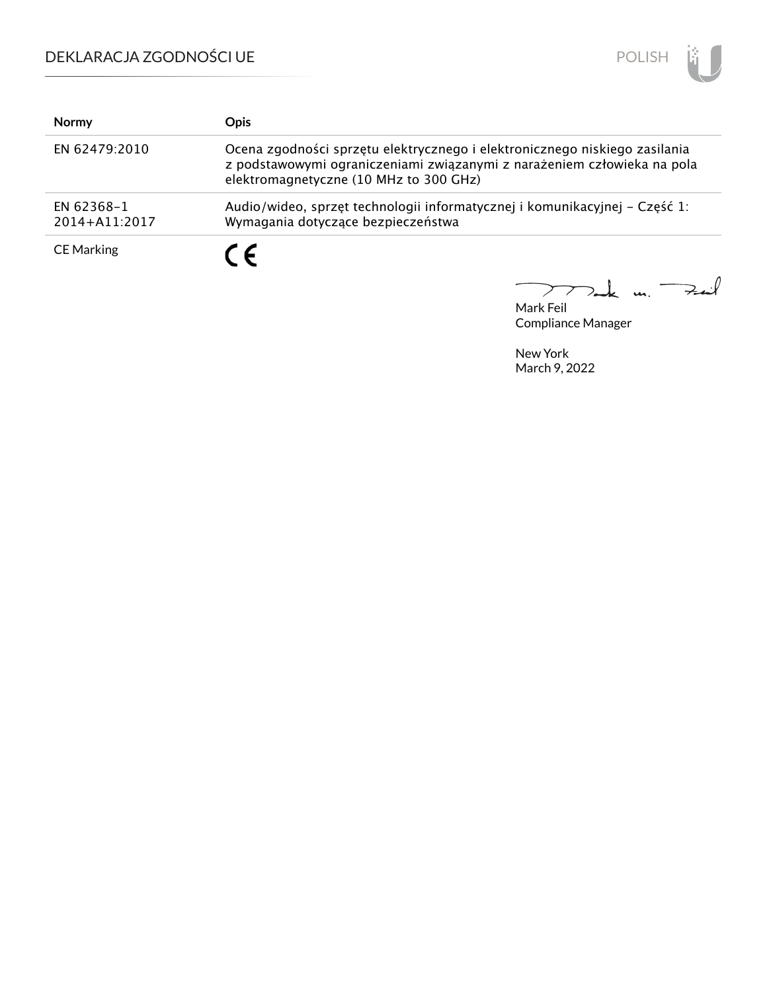# DEKLARACJA ZGODNOŚCI UE



| <b>Normy</b>                | <b>Opis</b>                                                                                                                                                                                     |
|-----------------------------|-------------------------------------------------------------------------------------------------------------------------------------------------------------------------------------------------|
| EN 62479:2010               | Ocena zgodności sprzętu elektrycznego i elektronicznego niskiego zasilania<br>z podstawowymi ograniczeniami związanymi z narażeniem człowieka na pola<br>elektromagnetyczne (10 MHz to 300 GHz) |
| EN 62368-1<br>2014+A11:2017 | Audio/wideo, sprzęt technologii informatycznej i komunikacyjnej – Część 1:<br>Wymagania dotyczące bezpieczeństwa                                                                                |
| <b>CE Marking</b>           | C E                                                                                                                                                                                             |

 $\downarrow$  u. Fail  $\overline{\phantom{0}}$  $\sum$ 

Mark Feil Compliance Manager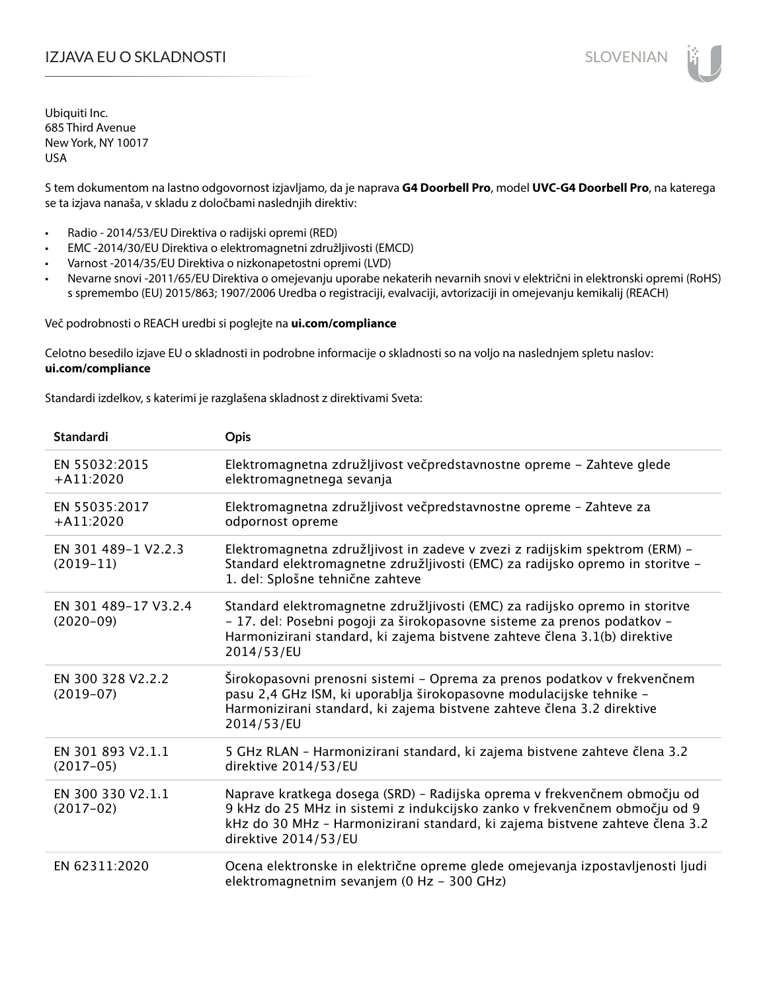# IZJAVA EU O SKLADNOSTI SLOVENIAN

Ubiquiti Inc. 685 Third Avenue New York, NY 10017 USA

S tem dokumentom na lastno odgovornost izjavljamo, da je naprava **G4 Doorbell Pro**, model **UVC-G4 Doorbell Pro**, na katerega se ta izjava nanaša, v skladu z določbami naslednjih direktiv:

- Radio 2014/53/EU Direktiva o radijski opremi (RED)
- EMC -2014/30/EU Direktiva o elektromagnetni združljivosti (EMCD)
- Varnost -2014/35/EU Direktiva o nizkonapetostni opremi (LVD)
- Nevarne snovi -2011/65/EU Direktiva o omejevanju uporabe nekaterih nevarnih snovi v električni in elektronski opremi (RoHS) s spremembo (EU) 2015/863; 1907/2006 Uredba o registraciji, evalvaciji, avtorizaciji in omejevanju kemikalij (REACH)

Več podrobnosti o REACH uredbi si poglejte na **ui.com/compliance**

Celotno besedilo izjave EU o skladnosti in podrobne informacije o skladnosti so na voljo na naslednjem spletu naslov: **ui.com/compliance**

Standardi izdelkov, s katerimi je razglašena skladnost z direktivami Sveta:

| <b>Standardi</b>                      | <b>Opis</b>                                                                                                                                                                                                                                                   |
|---------------------------------------|---------------------------------------------------------------------------------------------------------------------------------------------------------------------------------------------------------------------------------------------------------------|
| EN 55032:2015<br>$+A11:2020$          | Elektromagnetna združljivost večpredstavnostne opreme - Zahteve glede<br>elektromagnetnega sevanja                                                                                                                                                            |
| EN 55035:2017<br>$+A11:2020$          | Elektromagnetna združljivost večpredstavnostne opreme - Zahteve za<br>odpornost opreme                                                                                                                                                                        |
| EN 301 489-1 V2.2.3<br>$(2019-11)$    | Elektromagnetna združljivost in zadeve v zvezi z radijskim spektrom (ERM) -<br>Standard elektromagnetne združljivosti (EMC) za radijsko opremo in storitve -<br>1. del: Splošne tehnične zahteve                                                              |
| EN 301 489-17 V3.2.4<br>$(2020 - 09)$ | Standard elektromagnetne združljivosti (EMC) za radijsko opremo in storitve<br>- 17. del: Posebni pogoji za širokopasovne sisteme za prenos podatkov -<br>Harmonizirani standard, ki zajema bistvene zahteve člena 3.1(b) direktive<br>2014/53/EU             |
| EN 300 328 V2.2.2<br>$(2019-07)$      | Širokopasovni prenosni sistemi - Oprema za prenos podatkov v frekvenčnem<br>pasu 2,4 GHz ISM, ki uporablja širokopasovne modulacijske tehnike -<br>Harmonizirani standard, ki zajema bistvene zahteve člena 3.2 direktive<br>2014/53/EU                       |
| EN 301 893 V2.1.1<br>$(2017-05)$      | 5 GHz RLAN - Harmonizirani standard, ki zajema bistvene zahteve člena 3.2<br>direktive 2014/53/EU                                                                                                                                                             |
| EN 300 330 V2.1.1<br>$(2017-02)$      | Naprave kratkega dosega (SRD) - Radijska oprema v frekvenčnem območju od<br>9 kHz do 25 MHz in sistemi z indukcijsko zanko v frekvenčnem območju od 9<br>kHz do 30 MHz - Harmonizirani standard, ki zajema bistvene zahteve člena 3.2<br>direktive 2014/53/EU |
| EN 62311:2020                         | Ocena elektronske in električne opreme glede omejevanja izpostavljenosti ljudi<br>elektromagnetnim sevanjem (0 Hz - 300 GHz)                                                                                                                                  |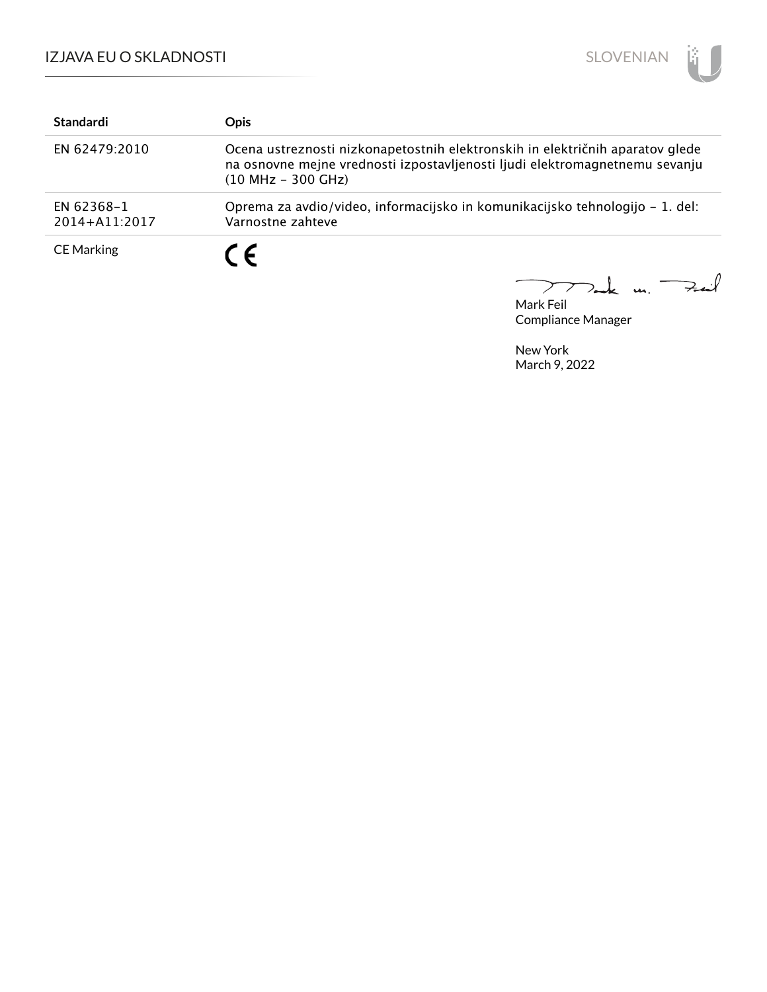

| <b>Standardi</b>                | <b>Opis</b>                                                                                                                                                                          |
|---------------------------------|--------------------------------------------------------------------------------------------------------------------------------------------------------------------------------------|
| EN 62479:2010                   | Ocena ustreznosti nizkonapetostnih elektronskih in električnih aparatov glede<br>na osnovne mejne vrednosti izpostavljenosti ljudi elektromagnetnemu sevanju<br>$(10 MHz - 300 GHz)$ |
| EN 62368-1<br>$2014 + A11:2017$ | Oprema za avdio/video, informacijsko in komunikacijsko tehnologijo – 1. del:<br>Varnostne zahteve                                                                                    |
| <b>CE Marking</b>               | $\epsilon$                                                                                                                                                                           |

k m. Fail  $\overbrace{\hspace{15em}}$  $\sum$  $\overline{\phantom{a}}$ 

Mark Feil Compliance Manager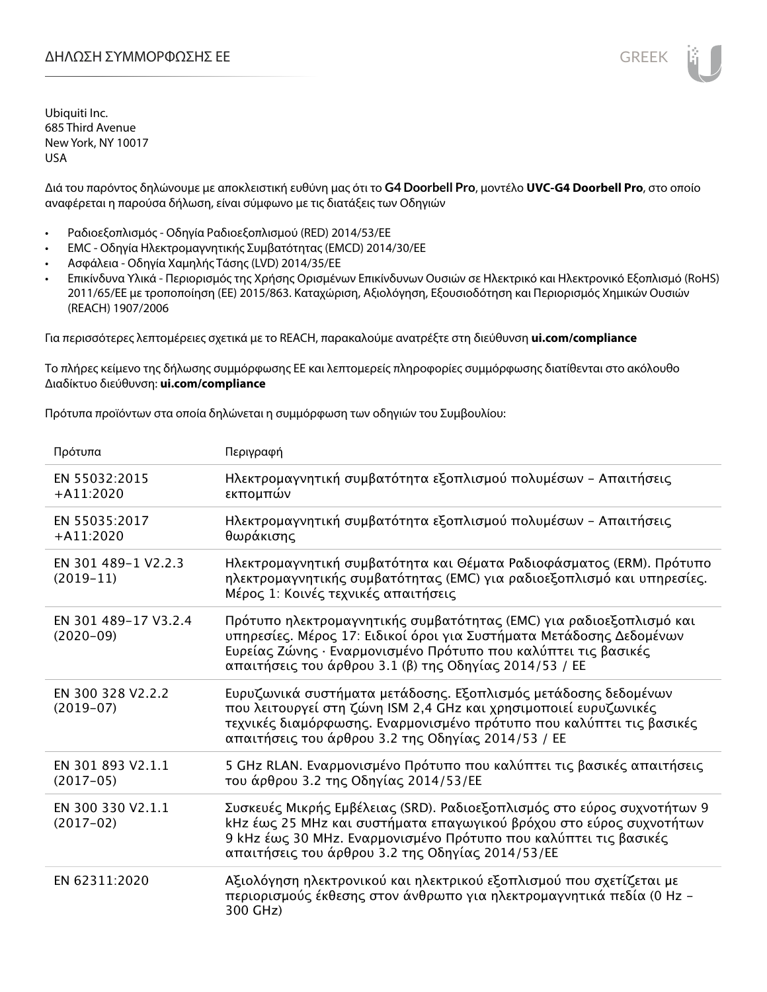Διά του παρόντος δηλώνουμε με αποκλειστική ευθύνη μας ότι το **G4 Doorbell Pro**, μοντέλο **UVC-G4 Doorbell Pro**, στο οποίο αναφέρεται η παρούσα δήλωση, είναι σύμφωνο με τις διατάξεις των Οδηγιών

- Ραδιοεξοπλισμός Οδηγία Ραδιοεξοπλισμού (RED) 2014/53/ΕΕ
- EMC Οδηγία Ηλεκτρομαγνητικής Συμβατότητας (EMCD) 2014/30/ΕΕ
- Ασφάλεια Οδηγία Χαμηλής Τάσης (LVD) 2014/35/ΕΕ
- Επικίνδυνα Υλικά Περιορισμός της Χρήσης Ορισμένων Επικίνδυνων Ουσιών σε Ηλεκτρικό και Ηλεκτρονικό Εξοπλισμό (RoHS) 2011/65/ΕΕ με τροποποίηση (ΕΕ) 2015/863. Καταχώριση, Αξιολόγηση, Εξουσιοδότηση και Περιορισμός Χημικών Ουσιών (REACH) 1907/2006

Για περισσότερες λεπτομέρειες σχετικά με το REACH, παρακαλούμε ανατρέξτε στη διεύθυνση **ui.com/compliance**

Το πλήρες κείμενο της δήλωσης συμμόρφωσης ΕΕ και λεπτομερείς πληροφορίες συμμόρφωσης διατίθενται στο ακόλουθο Διαδίκτυο διεύθυνση: **ui.com/compliance**

Πρότυπα προϊόντων στα οποία δηλώνεται η συμμόρφωση των οδηγιών του Συμβουλίου:

| Πρότυπα                               | Περιγραφή                                                                                                                                                                                                                                                              |
|---------------------------------------|------------------------------------------------------------------------------------------------------------------------------------------------------------------------------------------------------------------------------------------------------------------------|
| EN 55032:2015<br>$+A11:2020$          | Ηλεκτρομαγνητική συμβατότητα εξοπλισμού πολυμέσων - Απαιτήσεις<br>εκπομπών                                                                                                                                                                                             |
| EN 55035:2017<br>$+A11:2020$          | Ηλεκτρομαγνητική συμβατότητα εξοπλισμού πολυμέσων - Απαιτήσεις<br>θωράκισης                                                                                                                                                                                            |
| EN 301 489-1 V2.2.3<br>$(2019-11)$    | Ηλεκτρομαγνητική συμβατότητα και Θέματα Ραδιοφάσματος (ERM). Πρότυπο<br>ηλεκτρομαγνητικής συμβατότητας (ΕΜC) για ραδιοεξοπλισμό και υπηρεσίες.<br>Μέρος 1: Κοινές τεχνικές απαιτήσεις                                                                                  |
| EN 301 489-17 V3.2.4<br>$(2020 - 09)$ | Πρότυπο ηλεκτρομαγνητικής συμβατότητας (ΕΜC) για ραδιοεξοπλισμό και<br>υπηρεσίες. Μέρος 17: Ειδικοί όροι για Συστήματα Μετάδοσης Δεδομένων<br>Ευρείας Ζώνης · Εναρμονισμένο Πρότυπο που καλύπτει τις βασικές<br>απαιτήσεις του άρθρου 3.1 (β) της Οδηγίας 2014/53 / ΕΕ |
| EN 300 328 V2.2.2<br>$(2019-07)$      | Ευρυζωνικά συστήματα μετάδοσης. Εξοπλισμός μετάδοσης δεδομένων<br>που λειτουργεί στη ζώνη ISM 2,4 GHz και χρησιμοποιεί ευρυζωνικές<br>τεχνικές διαμόρφωσης. Εναρμονισμένο πρότυπο που καλύπτει τις βασικές<br>απαιτήσεις του άρθρου 3.2 της Οδηγίας 2014/53 / ΕΕ       |
| EN 301 893 V2.1.1<br>$(2017-05)$      | 5 GHz RLAN. Εναρμονισμένο Πρότυπο που καλύπτει τις βασικές απαιτήσεις<br>του άρθρου 3.2 της Οδηγίας 2014/53/ΕΕ                                                                                                                                                         |
| EN 300 330 V2.1.1<br>$(2017-02)$      | Συσκευές Μικρής Εμβέλειας (SRD). Ραδιοεξοπλισμός στο εύρος συχνοτήτων 9<br>kHz έως 25 MHz και συστήματα επαγωγικού βρόχου στο εύρος συχνοτήτων<br>9 kHz έως 30 MHz. Εναρμονισμένο Πρότυπο που καλύπτει τις βασικές<br>απαιτήσεις του άρθρου 3.2 της Οδηγίας 2014/53/ΕΕ |
| EN 62311:2020                         | Αξιολόγηση ηλεκτρονικού και ηλεκτρικού εξοπλισμού που σχετίζεται με<br>περιορισμούς έκθεσης στον άνθρωπο για ηλεκτρομαγνητικά πεδία (0 Hz –<br>300 GHz)                                                                                                                |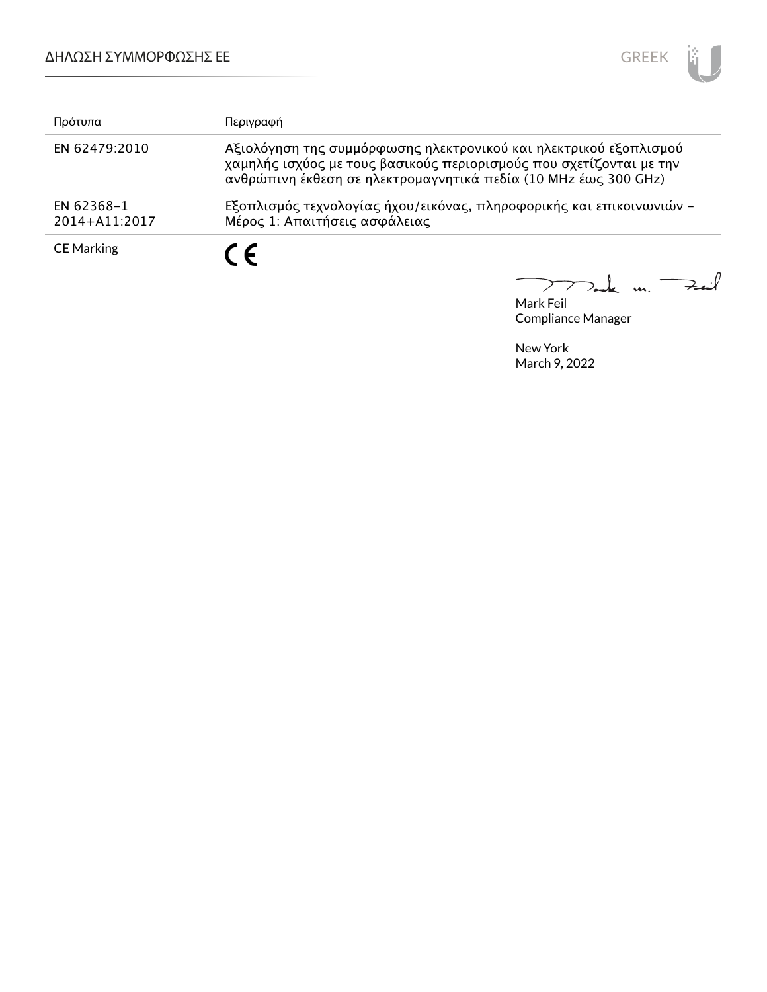

| Πρότυπα                     | Περιγραφή                                                                                                                                                                                                   |
|-----------------------------|-------------------------------------------------------------------------------------------------------------------------------------------------------------------------------------------------------------|
| EN 62479:2010               | Αξιολόγηση της συμμόρφωσης ηλεκτρονικού και ηλεκτρικού εξοπλισμού<br>χαμηλής ισχύος με τους βασικούς περιορισμούς που σχετίζονται με την<br>ανθρώπινη έκθεση σε ηλεκτρομαγνητικά πεδία (10 MHz έως 300 GHz) |
| EN 62368-1<br>2014+A11:2017 | Εξοπλισμός τεχνολογίας ήχου/εικόνας, πληροφορικής και επικοινωνιών -<br>Μέρος 1: Απαιτήσεις ασφάλειας                                                                                                       |
| <b>CE Marking</b>           | $\epsilon$                                                                                                                                                                                                  |

Mark Feil<br>Mark Feil  $\overline{\phantom{0}}$ 

Compliance Manager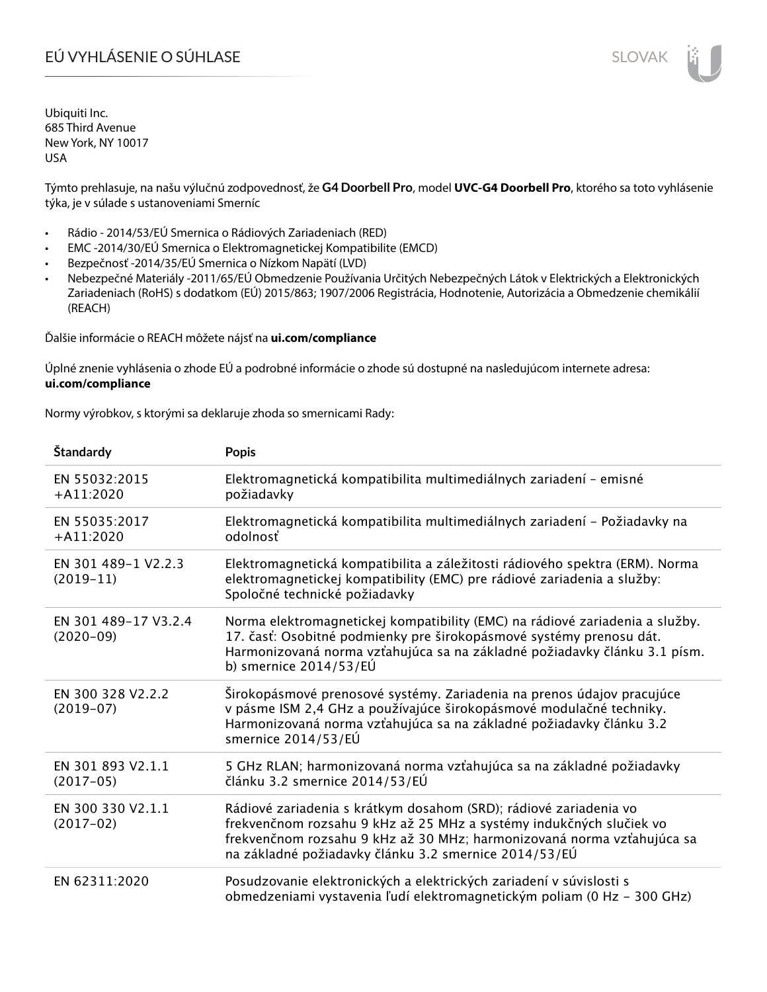Týmto prehlasuje, na našu výlučnú zodpovednosť, že **G4 Doorbell Pro**, model **UVC-G4 Doorbell Pro**, ktorého sa toto vyhlásenie týka, je v súlade s ustanoveniami Smerníc

- Rádio 2014/53/EÚ Smernica o Rádiových Zariadeniach (RED)
- EMC -2014/30/EÚ Smernica o Elektromagnetickej Kompatibilite (EMCD)
- Bezpečnosť -2014/35/EÚ Smernica o Nízkom Napätí (LVD)
- Nebezpečné Materiály -2011/65/EÚ Obmedzenie Používania Určitých Nebezpečných Látok v Elektrických a Elektronických Zariadeniach (RoHS) s dodatkom (EÚ) 2015/863; 1907/2006 Registrácia, Hodnotenie, Autorizácia a Obmedzenie chemikálií (REACH)

Ďalšie informácie o REACH môžete nájsť na **ui.com/compliance**

Úplné znenie vyhlásenia o zhode EÚ a podrobné informácie o zhode sú dostupné na nasledujúcom internete adresa: **ui.com/compliance**

Normy výrobkov, s ktorými sa deklaruje zhoda so smernicami Rady:

| Štandardy                           | <b>Popis</b>                                                                                                                                                                                                                                                                |
|-------------------------------------|-----------------------------------------------------------------------------------------------------------------------------------------------------------------------------------------------------------------------------------------------------------------------------|
| EN 55032:2015<br>$+A11:2020$        | Elektromagnetická kompatibilita multimediálnych zariadení - emisné<br>požiadavky                                                                                                                                                                                            |
| EN 55035:2017<br>$+A11:2020$        | Elektromagnetická kompatibilita multimediálnych zariadení - Požiadavky na<br>odolnosť                                                                                                                                                                                       |
| EN 301 489-1 V2.2.3<br>$(2019-11)$  | Elektromagnetická kompatibilita a záležitosti rádiového spektra (ERM). Norma<br>elektromagnetickej kompatibility (EMC) pre rádiové zariadenia a služby:<br>Spoločné technické požiadavky                                                                                    |
| EN 301 489-17 V3.2.4<br>$(2020-09)$ | Norma elektromagnetickej kompatibility (EMC) na rádiové zariadenia a služby.<br>17. časť: Osobitné podmienky pre širokopásmové systémy prenosu dát.<br>Harmonizovaná norma vzťahujúca sa na základné požiadavky článku 3.1 písm.<br>b) smernice $2014/53/EU$                |
| EN 300 328 V2.2.2<br>$(2019-07)$    | Širokopásmové prenosové systémy. Zariadenia na prenos údajov pracujúce<br>v pásme ISM 2,4 GHz a používajúce širokopásmové modulačné techniky.<br>Harmonizovaná norma vzťahujúca sa na základné požiadavky článku 3.2<br>smernice 2014/53/EÚ                                 |
| EN 301 893 V2.1.1<br>$(2017-05)$    | 5 GHz RLAN; harmonizovaná norma vzťahujúca sa na základné požiadavky<br>článku 3.2 smernice 2014/53/EÚ                                                                                                                                                                      |
| EN 300 330 V2.1.1<br>$(2017-02)$    | Rádiové zariadenia s krátkym dosahom (SRD); rádiové zariadenia vo<br>frekvenčnom rozsahu 9 kHz až 25 MHz a systémy indukčných slučiek vo<br>frekvenčnom rozsahu 9 kHz až 30 MHz; harmonizovaná norma vzťahujúca sa<br>na základné požiadavky článku 3.2 smernice 2014/53/EÚ |
| EN 62311:2020                       | Posudzovanie elektronických a elektrických zariadení v súvislosti s<br>obmedzeniami vystavenia ľudí elektromagnetickým poliam (0 Hz - 300 GHz)                                                                                                                              |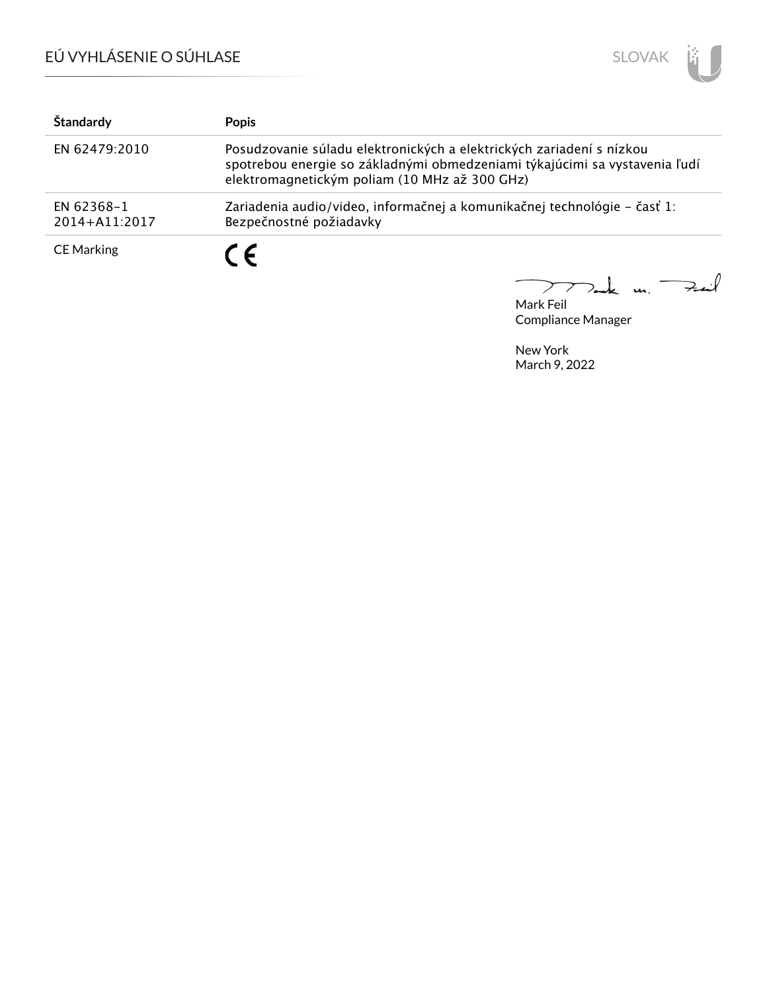

| Štandardy                   | <b>Popis</b>                                                                                                                                                                                        |
|-----------------------------|-----------------------------------------------------------------------------------------------------------------------------------------------------------------------------------------------------|
| EN 62479:2010               | Posudzovanie súladu elektronických a elektrických zariadení s nízkou<br>spotrebou energie so základnými obmedzeniami týkajúcimi sa vystavenia ľudí<br>elektromagnetickým poliam (10 MHz až 300 GHz) |
| EN 62368-1<br>2014+A11:2017 | Zariadenia audio/video, informačnej a komunikačnej technológie – časť 1:<br>Bezpečnostné požiadavky                                                                                                 |
| <b>CE Marking</b>           | $\epsilon$                                                                                                                                                                                          |

Mark Feil un Fail 

Compliance Manager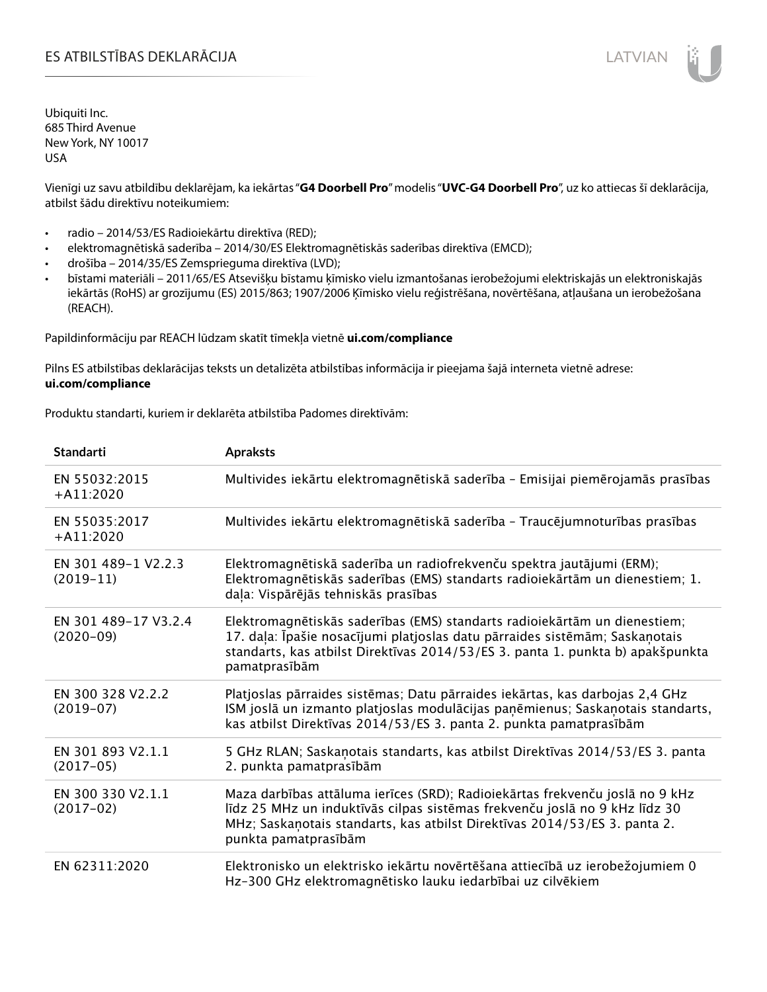# ES ATBILSTĪBAS DEKLARĀCIJA VALODAS ARĀ ATBILSTĪBAS DEKLARĀCIJA VALODAS ARĀ ATBILSTĪBAS DEKLARĀCIJA VALODAS ARĀ

Ubiquiti Inc. 685 Third Avenue New York, NY 10017 USA

Vienīgi uz savu atbildību deklarējam, ka iekārtas "**G4 Doorbell Pro**" modelis "**UVC-G4 Doorbell Pro**", uz ko attiecas šī deklarācija, atbilst šādu direktīvu noteikumiem:

- radio 2014/53/ES Radioiekārtu direktīva (RED);
- elektromagnētiskā saderība 2014/30/ES Elektromagnētiskās saderības direktīva (EMCD);
- drošība 2014/35/ES Zemsprieguma direktīva (LVD);
- bīstami materiāli 2011/65/ES Atsevišķu bīstamu ķīmisko vielu izmantošanas ierobežojumi elektriskajās un elektroniskajās iekārtās (RoHS) ar grozījumu (ES) 2015/863; 1907/2006 Ķīmisko vielu reģistrēšana, novērtēšana, atļaušana un ierobežošana (REACH).

Papildinformāciju par REACH lūdzam skatīt tīmekļa vietnē **ui.com/compliance**

Pilns ES atbilstības deklarācijas teksts un detalizēta atbilstības informācija ir pieejama šajā interneta vietnē adrese: **ui.com/compliance**

Produktu standarti, kuriem ir deklarēta atbilstība Padomes direktīvām:

| <b>Standarti</b>                    | <b>Apraksts</b>                                                                                                                                                                                                                                                 |
|-------------------------------------|-----------------------------------------------------------------------------------------------------------------------------------------------------------------------------------------------------------------------------------------------------------------|
| EN 55032:2015<br>$+A11:2020$        | Multivides iekārtu elektromagnētiskā saderība - Emisijai piemērojamās prasības                                                                                                                                                                                  |
| EN 55035:2017<br>$+A11:2020$        | Multivides iekārtu elektromagnētiskā saderība - Traucējumnoturības prasības                                                                                                                                                                                     |
| EN 301 489-1 V2.2.3<br>$(2019-11)$  | Elektromagnētiskā saderība un radiofrekvenču spektra jautājumi (ERM);<br>Elektromagnētiskās saderības (EMS) standarts radioiekārtām un dienestiem; 1.<br>daļa: Vispārējās tehniskās prasības                                                                    |
| EN 301 489-17 V3.2.4<br>$(2020-09)$ | Elektromagnētiskās saderības (EMS) standarts radioiekārtām un dienestiem;<br>17. daļa: Īpašie nosacījumi platjoslas datu pārraides sistēmām; Saskaņotais<br>standarts, kas atbilst Direktīvas 2014/53/ES 3. panta 1. punkta b) apakšpunkta<br>pamatprasībām     |
| EN 300 328 V2.2.2<br>$(2019-07)$    | Platjoslas pārraides sistēmas; Datu pārraides iekārtas, kas darbojas 2,4 GHz<br>ISM joslā un izmanto platjoslas modulācijas paņēmienus; Saskaņotais standarts,<br>kas atbilst Direktīvas 2014/53/ES 3. panta 2. punkta pamatprasībām                            |
| EN 301 893 V2.1.1<br>$(2017-05)$    | 5 GHz RLAN; Saskaņotais standarts, kas atbilst Direktīvas 2014/53/ES 3. panta<br>2. punkta pamatprasībām                                                                                                                                                        |
| EN 300 330 V2.1.1<br>$(2017-02)$    | Maza darbības attāluma ierīces (SRD); Radioiekārtas frekvenču joslā no 9 kHz<br>līdz 25 MHz un induktīvās cilpas sistēmas frekvenču joslā no 9 kHz līdz 30<br>MHz; Saskaņotais standarts, kas atbilst Direktīvas 2014/53/ES 3. panta 2.<br>punkta pamatprasībām |
| EN 62311:2020                       | Elektronisko un elektrisko iekārtu novērtēšana attiecībā uz ierobežojumiem 0<br>Hz-300 GHz elektromagnētisko lauku iedarbībai uz cilvēkiem                                                                                                                      |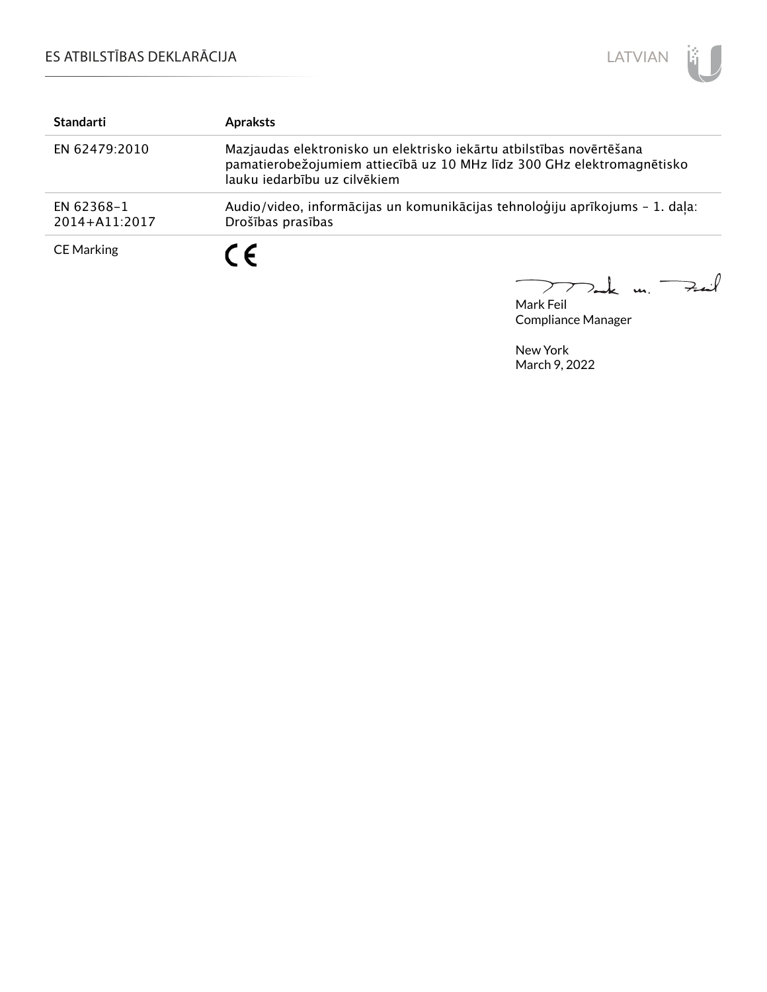

| <b>Standarti</b>            | <b>Apraksts</b>                                                                                                                                                                |
|-----------------------------|--------------------------------------------------------------------------------------------------------------------------------------------------------------------------------|
| EN 62479:2010               | Mazjaudas elektronisko un elektrisko iekārtu atbilstības novērtēšana<br>pamatierobežojumiem attiecībā uz 10 MHz līdz 300 GHz elektromagnētisko<br>lauku jedarbību uz cilvēkiem |
| EN 62368-1<br>2014+A11:2017 | Audio/video, informācijas un komunikācijas tehnoloģiju aprīkojums - 1. daļa:<br>Drošības prasības                                                                              |
| <b>CE Marking</b>           | $\epsilon$                                                                                                                                                                     |

mak m. Fail

Mark Feil Compliance Manager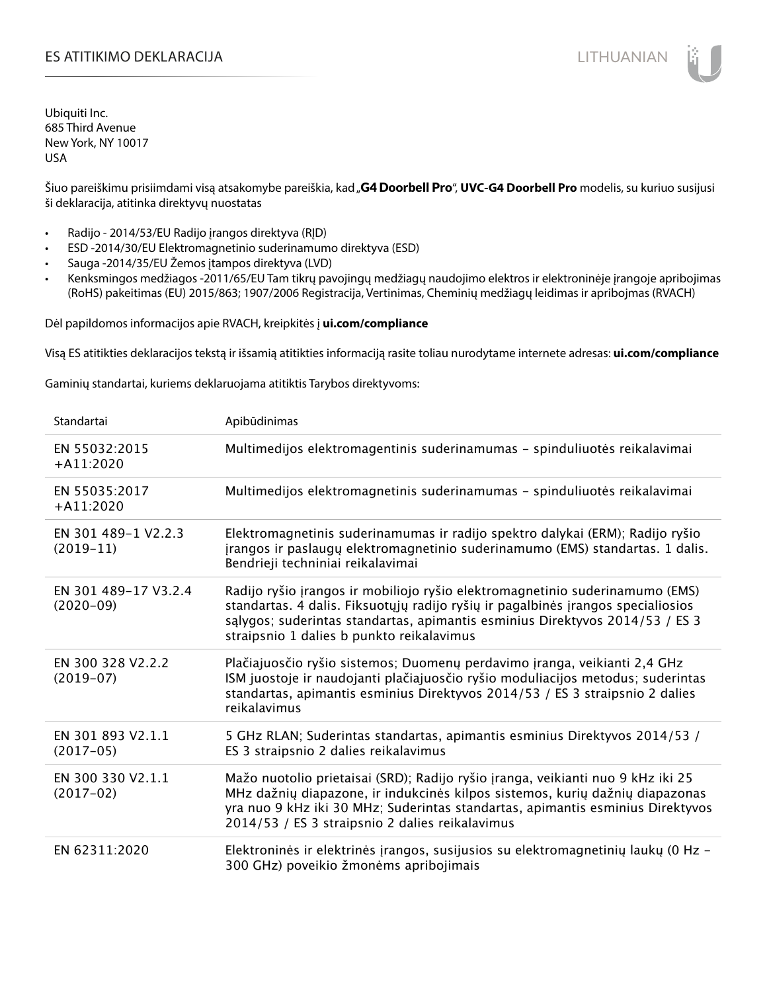# ES ATITIKIMO DEKLARACIJA NA SATITIKIMO DEKLARACIJA NA SATITIKIMO DE SATITIKIMO DE KLARACIJA NA SATITIKIMO DE KLA

Ubiquiti Inc. 685 Third Avenue New York, NY 10017 USA

Šiuo pareiškimu prisiimdami visą atsakomybe pareiškia, kad "G4 Doorbell Pro", UVC-G4 Doorbell Pro modelis, su kuriuo susijusi ši deklaracija, atitinka direktyvų nuostatas

- Radijo 2014/53/EU Radijo įrangos direktyva (RĮD)
- ESD -2014/30/EU Elektromagnetinio suderinamumo direktyva (ESD)
- Sauga -2014/35/EU Žemos įtampos direktyva (LVD)
- Kenksmingos medžiagos -2011/65/EU Tam tikrų pavojingų medžiagų naudojimo elektros ir elektroninėje įrangoje apribojimas (RoHS) pakeitimas (EU) 2015/863; 1907/2006 Registracija, Vertinimas, Cheminių medžiagų leidimas ir apribojmas (RVACH)

Dėl papildomos informacijos apie RVACH, kreipkitės į **ui.com/compliance**

Visą ES atitikties deklaracijos tekstą ir išsamią atitikties informaciją rasite toliau nurodytame internete adresas: **ui.com/compliance**

Gaminių standartai, kuriems deklaruojama atitiktis Tarybos direktyvoms:

| Standartai                          | Apibūdinimas                                                                                                                                                                                                                                                                                         |
|-------------------------------------|------------------------------------------------------------------------------------------------------------------------------------------------------------------------------------------------------------------------------------------------------------------------------------------------------|
| EN 55032:2015<br>$+$ A11:2020       | Multimedijos elektromagentinis suderinamumas - spinduliuotės reikalavimai                                                                                                                                                                                                                            |
| EN 55035:2017<br>$+A11:2020$        | Multimedijos elektromagnetinis suderinamumas - spinduliuotės reikalavimai                                                                                                                                                                                                                            |
| EN 301 489-1 V2.2.3<br>$(2019-11)$  | Elektromagnetinis suderinamumas ir radijo spektro dalykai (ERM); Radijo ryšio<br>įrangos ir paslaugų elektromagnetinio suderinamumo (EMS) standartas. 1 dalis.<br>Bendrieji techniniai reikalavimai                                                                                                  |
| EN 301 489-17 V3.2.4<br>$(2020-09)$ | Radijo ryšio įrangos ir mobiliojo ryšio elektromagnetinio suderinamumo (EMS)<br>standartas. 4 dalis. Fiksuotųjų radijo ryšių ir pagalbinės įrangos specialiosios<br>sąlygos; suderintas standartas, apimantis esminius Direktyvos 2014/53 / ES 3<br>straipsnio 1 dalies b punkto reikalavimus        |
| EN 300 328 V2.2.2<br>$(2019-07)$    | Plačiajuosčio ryšio sistemos; Duomenų perdavimo įranga, veikianti 2,4 GHz<br>ISM juostoje ir naudojanti plačiajuosčio ryšio moduliacijos metodus; suderintas<br>standartas, apimantis esminius Direktyvos 2014/53 / ES 3 straipsnio 2 dalies<br>reikalavimus                                         |
| EN 301 893 V2.1.1<br>$(2017-05)$    | 5 GHz RLAN; Suderintas standartas, apimantis esminius Direktyvos 2014/53 /<br>ES 3 straipsnio 2 dalies reikalavimus                                                                                                                                                                                  |
| EN 300 330 V2.1.1<br>$(2017-02)$    | Mažo nuotolio prietaisai (SRD); Radijo ryšio įranga, veikianti nuo 9 kHz iki 25<br>MHz dažnių diapazone, ir indukcinės kilpos sistemos, kurių dažnių diapazonas<br>yra nuo 9 kHz iki 30 MHz; Suderintas standartas, apimantis esminius Direktyvos<br>2014/53 / ES 3 straipsnio 2 dalies reikalavimus |
| EN 62311:2020                       | Elektroninės ir elektrinės įrangos, susijusios su elektromagnetinių laukų (0 Hz -<br>300 GHz) poveikio žmonėms apribojimais                                                                                                                                                                          |